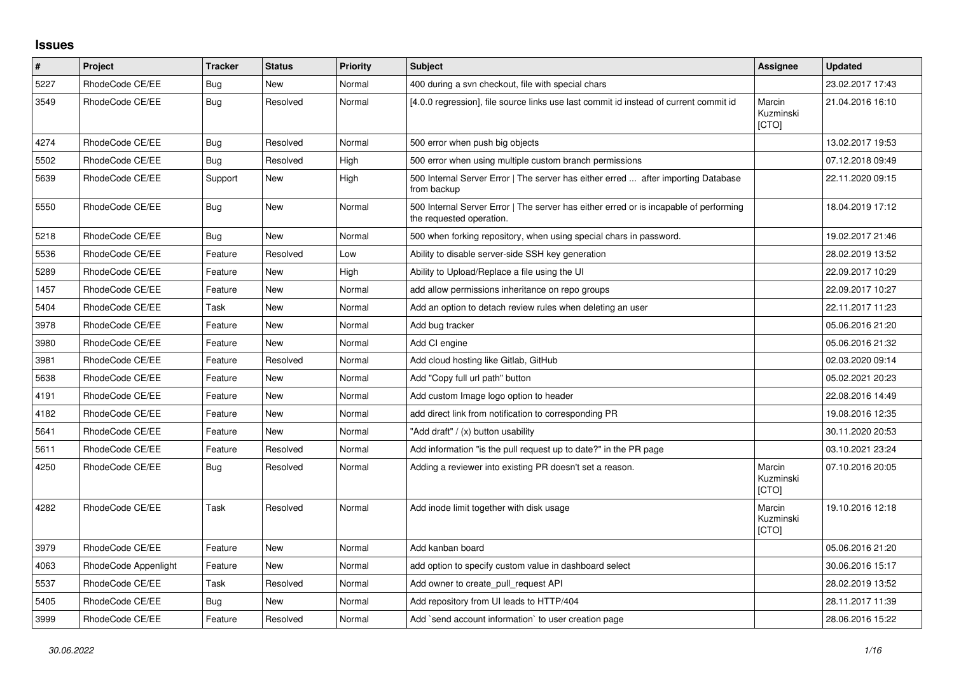## **Issues**

| ∦    | Project              | <b>Tracker</b> | <b>Status</b> | <b>Priority</b> | <b>Subject</b>                                                                                                    | Assignee                     | <b>Updated</b>   |
|------|----------------------|----------------|---------------|-----------------|-------------------------------------------------------------------------------------------------------------------|------------------------------|------------------|
| 5227 | RhodeCode CE/EE      | Bug            | <b>New</b>    | Normal          | 400 during a svn checkout, file with special chars                                                                |                              | 23.02.2017 17:43 |
| 3549 | RhodeCode CE/EE      | <b>Bug</b>     | Resolved      | Normal          | [4.0.0 regression], file source links use last commit id instead of current commit id                             | Marcin<br>Kuzminski<br>[CTO] | 21.04.2016 16:10 |
| 4274 | RhodeCode CE/EE      | Bug            | Resolved      | Normal          | 500 error when push big objects                                                                                   |                              | 13.02.2017 19:53 |
| 5502 | RhodeCode CE/EE      | Bug            | Resolved      | High            | 500 error when using multiple custom branch permissions                                                           |                              | 07.12.2018 09:49 |
| 5639 | RhodeCode CE/EE      | Support        | <b>New</b>    | High            | 500 Internal Server Error   The server has either erred  after importing Database<br>from backup                  |                              | 22.11.2020 09:15 |
| 5550 | RhodeCode CE/EE      | <b>Bug</b>     | <b>New</b>    | Normal          | 500 Internal Server Error   The server has either erred or is incapable of performing<br>the requested operation. |                              | 18.04.2019 17:12 |
| 5218 | RhodeCode CE/EE      | Bug            | <b>New</b>    | Normal          | 500 when forking repository, when using special chars in password.                                                |                              | 19.02.2017 21:46 |
| 5536 | RhodeCode CE/EE      | Feature        | Resolved      | Low             | Ability to disable server-side SSH key generation                                                                 |                              | 28.02.2019 13:52 |
| 5289 | RhodeCode CE/EE      | Feature        | <b>New</b>    | High            | Ability to Upload/Replace a file using the UI                                                                     |                              | 22.09.2017 10:29 |
| 1457 | RhodeCode CE/EE      | Feature        | <b>New</b>    | Normal          | add allow permissions inheritance on repo groups                                                                  |                              | 22.09.2017 10:27 |
| 5404 | RhodeCode CE/EE      | Task           | <b>New</b>    | Normal          | Add an option to detach review rules when deleting an user                                                        |                              | 22.11.2017 11:23 |
| 3978 | RhodeCode CE/EE      | Feature        | <b>New</b>    | Normal          | Add bug tracker                                                                                                   |                              | 05.06.2016 21:20 |
| 3980 | RhodeCode CE/EE      | Feature        | <b>New</b>    | Normal          | Add CI engine                                                                                                     |                              | 05.06.2016 21:32 |
| 3981 | RhodeCode CE/EE      | Feature        | Resolved      | Normal          | Add cloud hosting like Gitlab, GitHub                                                                             |                              | 02.03.2020 09:14 |
| 5638 | RhodeCode CE/EE      | Feature        | <b>New</b>    | Normal          | Add "Copy full url path" button                                                                                   |                              | 05.02.2021 20:23 |
| 4191 | RhodeCode CE/EE      | Feature        | <b>New</b>    | Normal          | Add custom Image logo option to header                                                                            |                              | 22.08.2016 14:49 |
| 4182 | RhodeCode CE/EE      | Feature        | <b>New</b>    | Normal          | add direct link from notification to corresponding PR                                                             |                              | 19.08.2016 12:35 |
| 5641 | RhodeCode CE/EE      | Feature        | <b>New</b>    | Normal          | 'Add draft" / (x) button usability                                                                                |                              | 30.11.2020 20:53 |
| 5611 | RhodeCode CE/EE      | Feature        | Resolved      | Normal          | Add information "is the pull request up to date?" in the PR page                                                  |                              | 03.10.2021 23:24 |
| 4250 | RhodeCode CE/EE      | Bug            | Resolved      | Normal          | Adding a reviewer into existing PR doesn't set a reason.                                                          | Marcin<br>Kuzminski<br>[CTO] | 07.10.2016 20:05 |
| 4282 | RhodeCode CE/EE      | Task           | Resolved      | Normal          | Add inode limit together with disk usage                                                                          | Marcin<br>Kuzminski<br>[CTO] | 19.10.2016 12:18 |
| 3979 | RhodeCode CE/EE      | Feature        | <b>New</b>    | Normal          | Add kanban board                                                                                                  |                              | 05.06.2016 21:20 |
| 4063 | RhodeCode Appenlight | Feature        | New           | Normal          | add option to specify custom value in dashboard select                                                            |                              | 30.06.2016 15:17 |
| 5537 | RhodeCode CE/EE      | Task           | Resolved      | Normal          | Add owner to create pull request API                                                                              |                              | 28.02.2019 13:52 |
| 5405 | RhodeCode CE/EE      | Bug            | <b>New</b>    | Normal          | Add repository from UI leads to HTTP/404                                                                          |                              | 28.11.2017 11:39 |
| 3999 | RhodeCode CE/EE      | Feature        | Resolved      | Normal          | Add `send account information` to user creation page                                                              |                              | 28.06.2016 15:22 |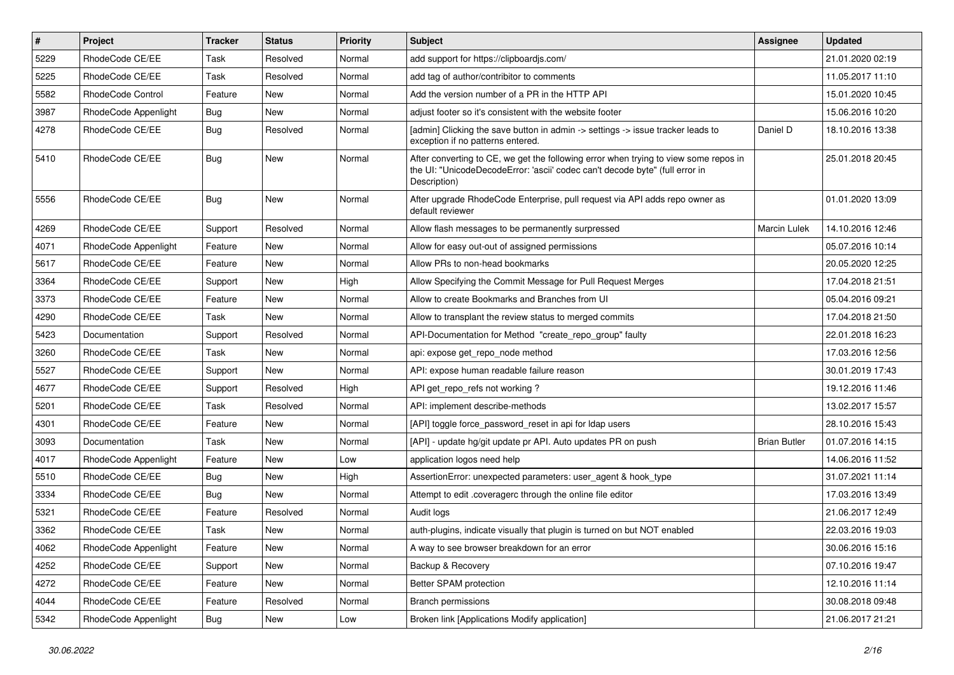| $\sharp$ | Project              | <b>Tracker</b> | <b>Status</b> | <b>Priority</b> | <b>Subject</b>                                                                                                                                                                       | <b>Assignee</b>     | <b>Updated</b>   |
|----------|----------------------|----------------|---------------|-----------------|--------------------------------------------------------------------------------------------------------------------------------------------------------------------------------------|---------------------|------------------|
| 5229     | RhodeCode CE/EE      | Task           | Resolved      | Normal          | add support for https://clipboardjs.com/                                                                                                                                             |                     | 21.01.2020 02:19 |
| 5225     | RhodeCode CE/EE      | Task           | Resolved      | Normal          | add tag of author/contribitor to comments                                                                                                                                            |                     | 11.05.2017 11:10 |
| 5582     | RhodeCode Control    | Feature        | New           | Normal          | Add the version number of a PR in the HTTP API                                                                                                                                       |                     | 15.01.2020 10:45 |
| 3987     | RhodeCode Appenlight | Bug            | <b>New</b>    | Normal          | adjust footer so it's consistent with the website footer                                                                                                                             |                     | 15.06.2016 10:20 |
| 4278     | RhodeCode CE/EE      | <b>Bug</b>     | Resolved      | Normal          | [admin] Clicking the save button in admin -> settings -> issue tracker leads to<br>exception if no patterns entered.                                                                 | Daniel D            | 18.10.2016 13:38 |
| 5410     | RhodeCode CE/EE      | Bug            | <b>New</b>    | Normal          | After converting to CE, we get the following error when trying to view some repos in<br>the UI: "UnicodeDecodeError: 'ascii' codec can't decode byte" (full error in<br>Description) |                     | 25.01.2018 20:45 |
| 5556     | RhodeCode CE/EE      | Bug            | <b>New</b>    | Normal          | After upgrade RhodeCode Enterprise, pull request via API adds repo owner as<br>default reviewer                                                                                      |                     | 01.01.2020 13:09 |
| 4269     | RhodeCode CE/EE      | Support        | Resolved      | Normal          | Allow flash messages to be permanently surpressed                                                                                                                                    | <b>Marcin Lulek</b> | 14.10.2016 12:46 |
| 4071     | RhodeCode Appenlight | Feature        | <b>New</b>    | Normal          | Allow for easy out-out of assigned permissions                                                                                                                                       |                     | 05.07.2016 10:14 |
| 5617     | RhodeCode CE/EE      | Feature        | New           | Normal          | Allow PRs to non-head bookmarks                                                                                                                                                      |                     | 20.05.2020 12:25 |
| 3364     | RhodeCode CE/EE      | Support        | <b>New</b>    | High            | Allow Specifying the Commit Message for Pull Request Merges                                                                                                                          |                     | 17.04.2018 21:51 |
| 3373     | RhodeCode CE/EE      | Feature        | New           | Normal          | Allow to create Bookmarks and Branches from UI                                                                                                                                       |                     | 05.04.2016 09:21 |
| 4290     | RhodeCode CE/EE      | Task           | New           | Normal          | Allow to transplant the review status to merged commits                                                                                                                              |                     | 17.04.2018 21:50 |
| 5423     | Documentation        | Support        | Resolved      | Normal          | API-Documentation for Method "create repo group" faulty                                                                                                                              |                     | 22.01.2018 16:23 |
| 3260     | RhodeCode CE/EE      | Task           | New           | Normal          | api: expose get repo node method                                                                                                                                                     |                     | 17.03.2016 12:56 |
| 5527     | RhodeCode CE/EE      | Support        | New           | Normal          | API: expose human readable failure reason                                                                                                                                            |                     | 30.01.2019 17:43 |
| 4677     | RhodeCode CE/EE      | Support        | Resolved      | High            | API get_repo_refs not working?                                                                                                                                                       |                     | 19.12.2016 11:46 |
| 5201     | RhodeCode CE/EE      | Task           | Resolved      | Normal          | API: implement describe-methods                                                                                                                                                      |                     | 13.02.2017 15:57 |
| 4301     | RhodeCode CE/EE      | Feature        | New           | Normal          | [API] toggle force_password_reset in api for Idap users                                                                                                                              |                     | 28.10.2016 15:43 |
| 3093     | Documentation        | Task           | New           | Normal          | [API] - update hg/git update pr API. Auto updates PR on push                                                                                                                         | <b>Brian Butler</b> | 01.07.2016 14:15 |
| 4017     | RhodeCode Appenlight | Feature        | New           | Low             | application logos need help                                                                                                                                                          |                     | 14.06.2016 11:52 |
| 5510     | RhodeCode CE/EE      | Bug            | <b>New</b>    | High            | AssertionError: unexpected parameters: user_agent & hook_type                                                                                                                        |                     | 31.07.2021 11:14 |
| 3334     | RhodeCode CE/EE      | Bug            | New           | Normal          | Attempt to edit .coveragerc through the online file editor                                                                                                                           |                     | 17.03.2016 13:49 |
| 5321     | RhodeCode CE/EE      | Feature        | Resolved      | Normal          | Audit logs                                                                                                                                                                           |                     | 21.06.2017 12:49 |
| 3362     | RhodeCode CE/EE      | Task           | New           | Normal          | auth-plugins, indicate visually that plugin is turned on but NOT enabled                                                                                                             |                     | 22.03.2016 19:03 |
| 4062     | RhodeCode Appenlight | Feature        | New           | Normal          | A way to see browser breakdown for an error                                                                                                                                          |                     | 30.06.2016 15:16 |
| 4252     | RhodeCode CE/EE      | Support        | New           | Normal          | Backup & Recovery                                                                                                                                                                    |                     | 07.10.2016 19:47 |
| 4272     | RhodeCode CE/EE      | Feature        | New           | Normal          | Better SPAM protection                                                                                                                                                               |                     | 12.10.2016 11:14 |
| 4044     | RhodeCode CE/EE      | Feature        | Resolved      | Normal          | <b>Branch permissions</b>                                                                                                                                                            |                     | 30.08.2018 09:48 |
| 5342     | RhodeCode Appenlight | <b>Bug</b>     | New           | Low             | Broken link [Applications Modify application]                                                                                                                                        |                     | 21.06.2017 21:21 |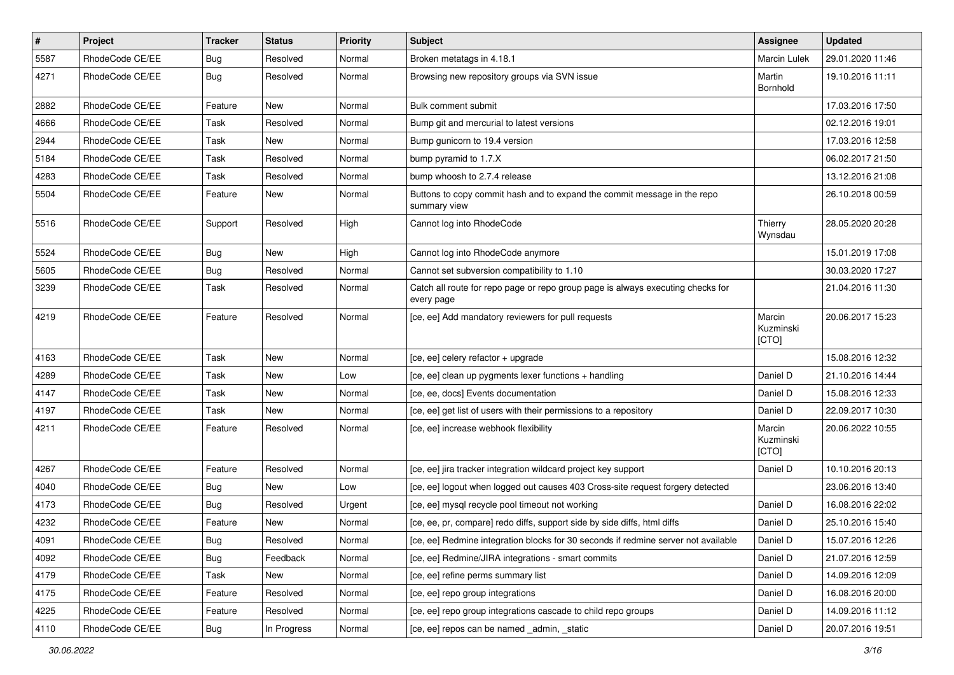| $\pmb{\#}$ | Project         | <b>Tracker</b> | <b>Status</b> | <b>Priority</b> | <b>Subject</b>                                                                                | <b>Assignee</b>              | <b>Updated</b>   |
|------------|-----------------|----------------|---------------|-----------------|-----------------------------------------------------------------------------------------------|------------------------------|------------------|
| 5587       | RhodeCode CE/EE | Bug            | Resolved      | Normal          | Broken metatags in 4.18.1                                                                     | <b>Marcin Lulek</b>          | 29.01.2020 11:46 |
| 4271       | RhodeCode CE/EE | Bug            | Resolved      | Normal          | Browsing new repository groups via SVN issue                                                  | Martin<br>Bornhold           | 19.10.2016 11:11 |
| 2882       | RhodeCode CE/EE | Feature        | New           | Normal          | Bulk comment submit                                                                           |                              | 17.03.2016 17:50 |
| 4666       | RhodeCode CE/EE | Task           | Resolved      | Normal          | Bump git and mercurial to latest versions                                                     |                              | 02.12.2016 19:01 |
| 2944       | RhodeCode CE/EE | Task           | New           | Normal          | Bump gunicorn to 19.4 version                                                                 |                              | 17.03.2016 12:58 |
| 5184       | RhodeCode CE/EE | Task           | Resolved      | Normal          | bump pyramid to 1.7.X                                                                         |                              | 06.02.2017 21:50 |
| 4283       | RhodeCode CE/EE | Task           | Resolved      | Normal          | bump whoosh to 2.7.4 release                                                                  |                              | 13.12.2016 21:08 |
| 5504       | RhodeCode CE/EE | Feature        | New           | Normal          | Buttons to copy commit hash and to expand the commit message in the repo<br>summary view      |                              | 26.10.2018 00:59 |
| 5516       | RhodeCode CE/EE | Support        | Resolved      | High            | Cannot log into RhodeCode                                                                     | Thierry<br>Wynsdau           | 28.05.2020 20:28 |
| 5524       | RhodeCode CE/EE | Bug            | <b>New</b>    | High            | Cannot log into RhodeCode anymore                                                             |                              | 15.01.2019 17:08 |
| 5605       | RhodeCode CE/EE | Bug            | Resolved      | Normal          | Cannot set subversion compatibility to 1.10                                                   |                              | 30.03.2020 17:27 |
| 3239       | RhodeCode CE/EE | Task           | Resolved      | Normal          | Catch all route for repo page or repo group page is always executing checks for<br>every page |                              | 21.04.2016 11:30 |
| 4219       | RhodeCode CE/EE | Feature        | Resolved      | Normal          | [ce, ee] Add mandatory reviewers for pull requests                                            | Marcin<br>Kuzminski<br>[CTO] | 20.06.2017 15:23 |
| 4163       | RhodeCode CE/EE | Task           | New           | Normal          | [ce, ee] celery refactor + upgrade                                                            |                              | 15.08.2016 12:32 |
| 4289       | RhodeCode CE/EE | Task           | New           | Low             | [ce, ee] clean up pygments lexer functions + handling                                         | Daniel D                     | 21.10.2016 14:44 |
| 4147       | RhodeCode CE/EE | Task           | New           | Normal          | [ce, ee, docs] Events documentation                                                           | Daniel D                     | 15.08.2016 12:33 |
| 4197       | RhodeCode CE/EE | Task           | New           | Normal          | [ce, ee] get list of users with their permissions to a repository                             | Daniel D                     | 22.09.2017 10:30 |
| 4211       | RhodeCode CE/EE | Feature        | Resolved      | Normal          | [ce, ee] increase webhook flexibility                                                         | Marcin<br>Kuzminski<br>[CTO] | 20.06.2022 10:55 |
| 4267       | RhodeCode CE/EE | Feature        | Resolved      | Normal          | [ce, ee] jira tracker integration wildcard project key support                                | Daniel D                     | 10.10.2016 20:13 |
| 4040       | RhodeCode CE/EE | Bug            | New           | Low             | [ce, ee] logout when logged out causes 403 Cross-site request forgery detected                |                              | 23.06.2016 13:40 |
| 4173       | RhodeCode CE/EE | Bug            | Resolved      | Urgent          | [ce, ee] mysql recycle pool timeout not working                                               | Daniel D                     | 16.08.2016 22:02 |
| 4232       | RhodeCode CE/EE | Feature        | New           | Normal          | [ce, ee, pr, compare] redo diffs, support side by side diffs, html diffs                      | Daniel D                     | 25.10.2016 15:40 |
| 4091       | RhodeCode CE/EE | <b>Bug</b>     | Resolved      | Normal          | [ce, ee] Redmine integration blocks for 30 seconds if redmine server not available            | Daniel D                     | 15.07.2016 12:26 |
| 4092       | RhodeCode CE/EE | Bug            | Feedback      | Normal          | [ce, ee] Redmine/JIRA integrations - smart commits                                            | Daniel D                     | 21.07.2016 12:59 |
| 4179       | RhodeCode CE/EE | Task           | New           | Normal          | [ce, ee] refine perms summary list                                                            | Daniel D                     | 14.09.2016 12:09 |
| 4175       | RhodeCode CE/EE | Feature        | Resolved      | Normal          | [ce, ee] repo group integrations                                                              | Daniel D                     | 16.08.2016 20:00 |
| 4225       | RhodeCode CE/EE | Feature        | Resolved      | Normal          | [ce, ee] repo group integrations cascade to child repo groups                                 | Daniel D                     | 14.09.2016 11:12 |
| 4110       | RhodeCode CE/EE | <b>Bug</b>     | In Progress   | Normal          | [ce, ee] repos can be named _admin, _static                                                   | Daniel D                     | 20.07.2016 19:51 |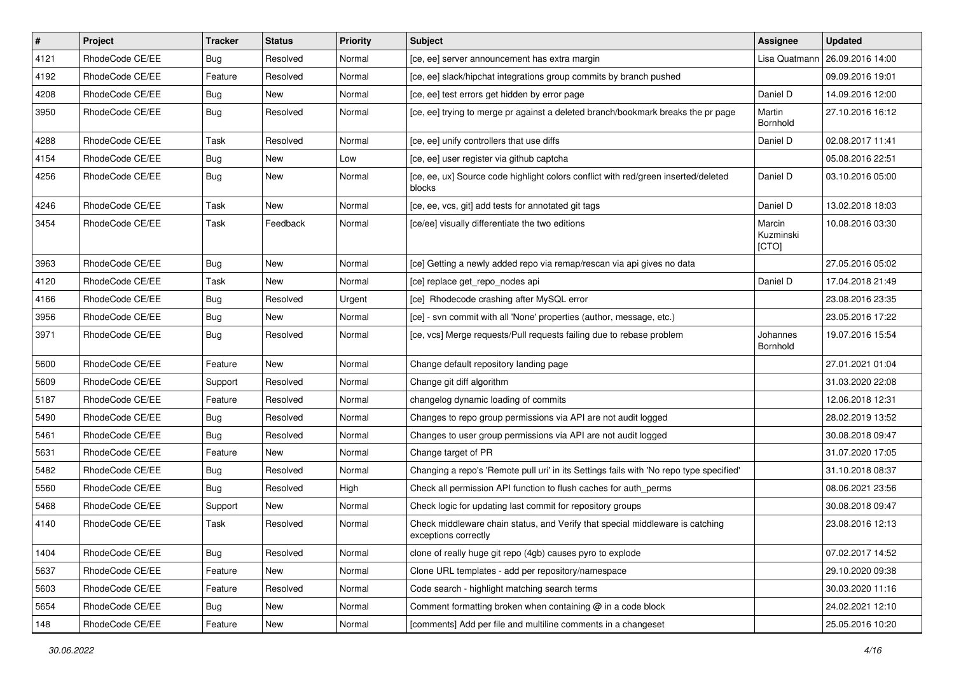| $\vert$ # | Project         | <b>Tracker</b> | <b>Status</b> | <b>Priority</b> | <b>Subject</b>                                                                                        | Assignee                     | <b>Updated</b>   |
|-----------|-----------------|----------------|---------------|-----------------|-------------------------------------------------------------------------------------------------------|------------------------------|------------------|
| 4121      | RhodeCode CE/EE | Bug            | Resolved      | Normal          | [ce, ee] server announcement has extra margin                                                         | Lisa Quatmann                | 26.09.2016 14:00 |
| 4192      | RhodeCode CE/EE | Feature        | Resolved      | Normal          | [ce, ee] slack/hipchat integrations group commits by branch pushed                                    |                              | 09.09.2016 19:01 |
| 4208      | RhodeCode CE/EE | Bug            | New           | Normal          | [ce, ee] test errors get hidden by error page                                                         | Daniel D                     | 14.09.2016 12:00 |
| 3950      | RhodeCode CE/EE | Bug            | Resolved      | Normal          | [ce, ee] trying to merge pr against a deleted branch/bookmark breaks the pr page                      | Martin<br>Bornhold           | 27.10.2016 16:12 |
| 4288      | RhodeCode CE/EE | Task           | Resolved      | Normal          | [ce, ee] unify controllers that use diffs                                                             | Daniel D                     | 02.08.2017 11:41 |
| 4154      | RhodeCode CE/EE | Bug            | New           | Low             | [ce, ee] user register via github captcha                                                             |                              | 05.08.2016 22:51 |
| 4256      | RhodeCode CE/EE | Bug            | <b>New</b>    | Normal          | [ce, ee, ux] Source code highlight colors conflict with red/green inserted/deleted<br>blocks          | Daniel D                     | 03.10.2016 05:00 |
| 4246      | RhodeCode CE/EE | Task           | New           | Normal          | [ce, ee, vcs, git] add tests for annotated git tags                                                   | Daniel D                     | 13.02.2018 18:03 |
| 3454      | RhodeCode CE/EE | Task           | Feedback      | Normal          | [ce/ee] visually differentiate the two editions                                                       | Marcin<br>Kuzminski<br>[CTO] | 10.08.2016 03:30 |
| 3963      | RhodeCode CE/EE | Bug            | New           | Normal          | [ce] Getting a newly added repo via remap/rescan via api gives no data                                |                              | 27.05.2016 05:02 |
| 4120      | RhodeCode CE/EE | Task           | New           | Normal          | [ce] replace get_repo_nodes api                                                                       | Daniel D                     | 17.04.2018 21:49 |
| 4166      | RhodeCode CE/EE | Bug            | Resolved      | Urgent          | [ce] Rhodecode crashing after MySQL error                                                             |                              | 23.08.2016 23:35 |
| 3956      | RhodeCode CE/EE | Bug            | New           | Normal          | [ce] - svn commit with all 'None' properties (author, message, etc.)                                  |                              | 23.05.2016 17:22 |
| 3971      | RhodeCode CE/EE | Bug            | Resolved      | Normal          | [ce, vcs] Merge requests/Pull requests failing due to rebase problem                                  | Johannes<br>Bornhold         | 19.07.2016 15:54 |
| 5600      | RhodeCode CE/EE | Feature        | New           | Normal          | Change default repository landing page                                                                |                              | 27.01.2021 01:04 |
| 5609      | RhodeCode CE/EE | Support        | Resolved      | Normal          | Change git diff algorithm                                                                             |                              | 31.03.2020 22:08 |
| 5187      | RhodeCode CE/EE | Feature        | Resolved      | Normal          | changelog dynamic loading of commits                                                                  |                              | 12.06.2018 12:31 |
| 5490      | RhodeCode CE/EE | <b>Bug</b>     | Resolved      | Normal          | Changes to repo group permissions via API are not audit logged                                        |                              | 28.02.2019 13:52 |
| 5461      | RhodeCode CE/EE | Bug            | Resolved      | Normal          | Changes to user group permissions via API are not audit logged                                        |                              | 30.08.2018 09:47 |
| 5631      | RhodeCode CE/EE | Feature        | New           | Normal          | Change target of PR                                                                                   |                              | 31.07.2020 17:05 |
| 5482      | RhodeCode CE/EE | Bug            | Resolved      | Normal          | Changing a repo's 'Remote pull uri' in its Settings fails with 'No repo type specified'               |                              | 31.10.2018 08:37 |
| 5560      | RhodeCode CE/EE | Bug            | Resolved      | High            | Check all permission API function to flush caches for auth perms                                      |                              | 08.06.2021 23:56 |
| 5468      | RhodeCode CE/EE | Support        | New           | Normal          | Check logic for updating last commit for repository groups                                            |                              | 30.08.2018 09:47 |
| 4140      | RhodeCode CE/EE | Task           | Resolved      | Normal          | Check middleware chain status, and Verify that special middleware is catching<br>exceptions correctly |                              | 23.08.2016 12:13 |
| 1404      | RhodeCode CE/EE | Bug            | Resolved      | Normal          | clone of really huge git repo (4gb) causes pyro to explode                                            |                              | 07.02.2017 14:52 |
| 5637      | RhodeCode CE/EE | Feature        | New           | Normal          | Clone URL templates - add per repository/namespace                                                    |                              | 29.10.2020 09:38 |
| 5603      | RhodeCode CE/EE | Feature        | Resolved      | Normal          | Code search - highlight matching search terms                                                         |                              | 30.03.2020 11:16 |
| 5654      | RhodeCode CE/EE | Bug            | New           | Normal          | Comment formatting broken when containing $@$ in a code block                                         |                              | 24.02.2021 12:10 |
| 148       | RhodeCode CE/EE | Feature        | New           | Normal          | [comments] Add per file and multiline comments in a changeset                                         |                              | 25.05.2016 10:20 |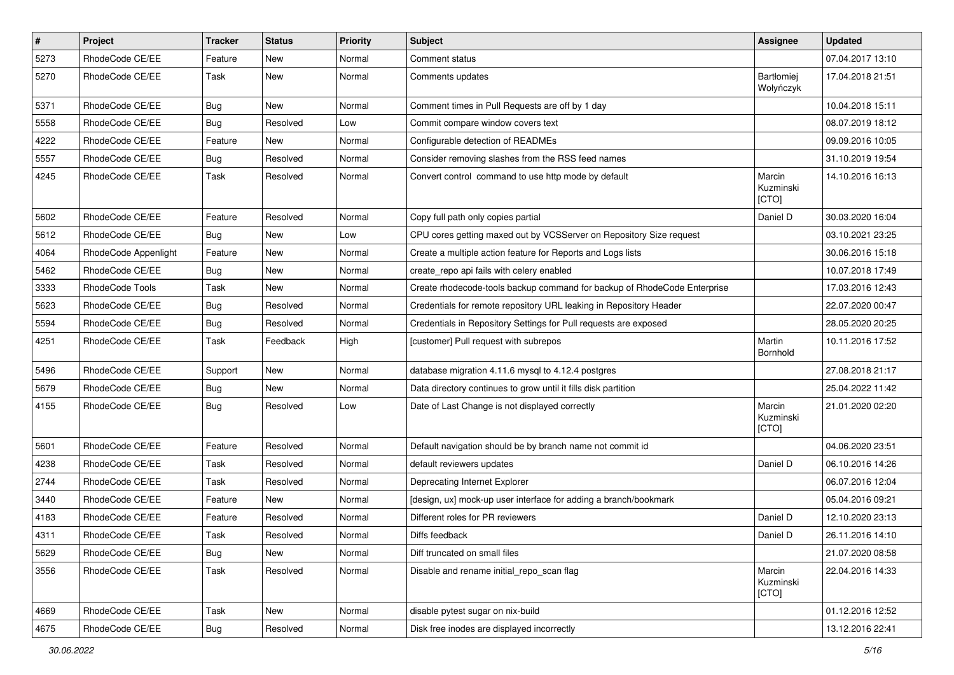| $\pmb{\#}$ | Project              | <b>Tracker</b> | <b>Status</b> | <b>Priority</b> | Subject                                                                  | <b>Assignee</b>              | <b>Updated</b>   |
|------------|----------------------|----------------|---------------|-----------------|--------------------------------------------------------------------------|------------------------------|------------------|
| 5273       | RhodeCode CE/EE      | Feature        | New           | Normal          | Comment status                                                           |                              | 07.04.2017 13:10 |
| 5270       | RhodeCode CE/EE      | Task           | <b>New</b>    | Normal          | Comments updates                                                         | Bartłomiej<br>Wołyńczyk      | 17.04.2018 21:51 |
| 5371       | RhodeCode CE/EE      | Bug            | <b>New</b>    | Normal          | Comment times in Pull Requests are off by 1 day                          |                              | 10.04.2018 15:11 |
| 5558       | RhodeCode CE/EE      | Bug            | Resolved      | Low             | Commit compare window covers text                                        |                              | 08.07.2019 18:12 |
| 4222       | RhodeCode CE/EE      | Feature        | <b>New</b>    | Normal          | Configurable detection of READMEs                                        |                              | 09.09.2016 10:05 |
| 5557       | RhodeCode CE/EE      | Bug            | Resolved      | Normal          | Consider removing slashes from the RSS feed names                        |                              | 31.10.2019 19:54 |
| 4245       | RhodeCode CE/EE      | Task           | Resolved      | Normal          | Convert control command to use http mode by default                      | Marcin<br>Kuzminski<br>[CTO] | 14.10.2016 16:13 |
| 5602       | RhodeCode CE/EE      | Feature        | Resolved      | Normal          | Copy full path only copies partial                                       | Daniel D                     | 30.03.2020 16:04 |
| 5612       | RhodeCode CE/EE      | Bug            | New           | Low             | CPU cores getting maxed out by VCSServer on Repository Size request      |                              | 03.10.2021 23:25 |
| 4064       | RhodeCode Appenlight | Feature        | <b>New</b>    | Normal          | Create a multiple action feature for Reports and Logs lists              |                              | 30.06.2016 15:18 |
| 5462       | RhodeCode CE/EE      | Bug            | New           | Normal          | create_repo api fails with celery enabled                                |                              | 10.07.2018 17:49 |
| 3333       | RhodeCode Tools      | Task           | <b>New</b>    | Normal          | Create rhodecode-tools backup command for backup of RhodeCode Enterprise |                              | 17.03.2016 12:43 |
| 5623       | RhodeCode CE/EE      | Bug            | Resolved      | Normal          | Credentials for remote repository URL leaking in Repository Header       |                              | 22.07.2020 00:47 |
| 5594       | RhodeCode CE/EE      | Bug            | Resolved      | Normal          | Credentials in Repository Settings for Pull requests are exposed         |                              | 28.05.2020 20:25 |
| 4251       | RhodeCode CE/EE      | Task           | Feedback      | High            | [customer] Pull request with subrepos                                    | Martin<br>Bornhold           | 10.11.2016 17:52 |
| 5496       | RhodeCode CE/EE      | Support        | <b>New</b>    | Normal          | database migration 4.11.6 mysql to 4.12.4 postgres                       |                              | 27.08.2018 21:17 |
| 5679       | RhodeCode CE/EE      | Bug            | New           | Normal          | Data directory continues to grow until it fills disk partition           |                              | 25.04.2022 11:42 |
| 4155       | RhodeCode CE/EE      | Bug            | Resolved      | Low             | Date of Last Change is not displayed correctly                           | Marcin<br>Kuzminski<br>[CTO] | 21.01.2020 02:20 |
| 5601       | RhodeCode CE/EE      | Feature        | Resolved      | Normal          | Default navigation should be by branch name not commit id                |                              | 04.06.2020 23:51 |
| 4238       | RhodeCode CE/EE      | Task           | Resolved      | Normal          | default reviewers updates                                                | Daniel D                     | 06.10.2016 14:26 |
| 2744       | RhodeCode CE/EE      | Task           | Resolved      | Normal          | Deprecating Internet Explorer                                            |                              | 06.07.2016 12:04 |
| 3440       | RhodeCode CE/EE      | Feature        | <b>New</b>    | Normal          | [design, ux] mock-up user interface for adding a branch/bookmark         |                              | 05.04.2016 09:21 |
| 4183       | RhodeCode CE/EE      | Feature        | Resolved      | Normal          | Different roles for PR reviewers                                         | Daniel D                     | 12.10.2020 23:13 |
| 4311       | RhodeCode CE/EE      | Task           | Resolved      | Normal          | Diffs feedback                                                           | Daniel D                     | 26.11.2016 14:10 |
| 5629       | RhodeCode CE/EE      | <b>Bug</b>     | New           | Normal          | Diff truncated on small files                                            |                              | 21.07.2020 08:58 |
| 3556       | RhodeCode CE/EE      | Task           | Resolved      | Normal          | Disable and rename initial_repo_scan flag                                | Marcin<br>Kuzminski<br>[CTO] | 22.04.2016 14:33 |
| 4669       | RhodeCode CE/EE      | Task           | New           | Normal          | disable pytest sugar on nix-build                                        |                              | 01.12.2016 12:52 |
| 4675       | RhodeCode CE/EE      | <b>Bug</b>     | Resolved      | Normal          | Disk free inodes are displayed incorrectly                               |                              | 13.12.2016 22:41 |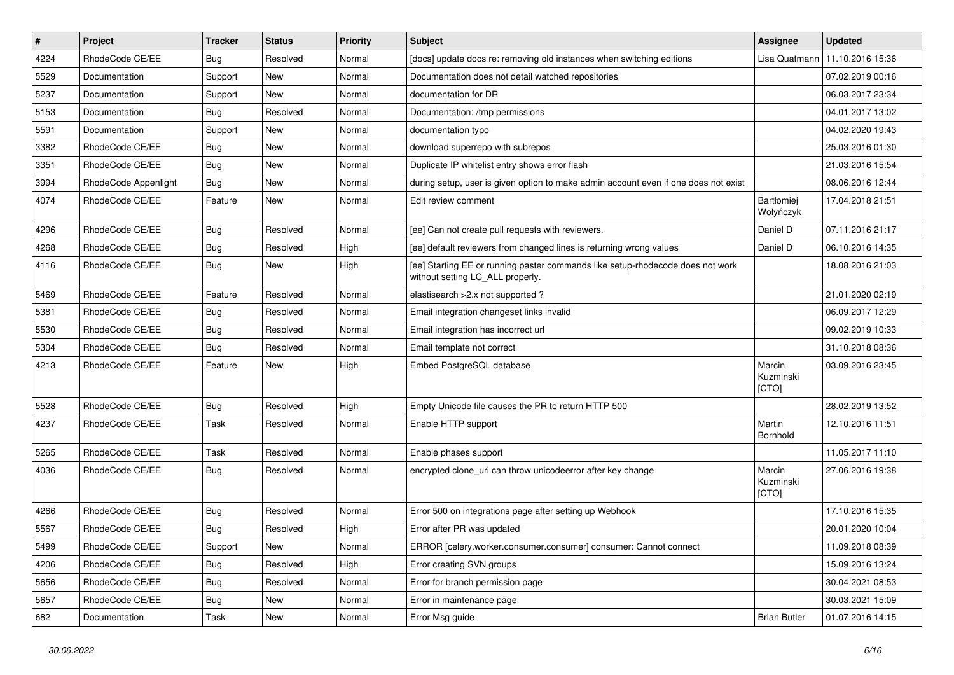| $\vert$ # | Project              | <b>Tracker</b> | <b>Status</b> | Priority | <b>Subject</b>                                                                                                     | <b>Assignee</b>              | <b>Updated</b>   |
|-----------|----------------------|----------------|---------------|----------|--------------------------------------------------------------------------------------------------------------------|------------------------------|------------------|
| 4224      | RhodeCode CE/EE      | Bug            | Resolved      | Normal   | [docs] update docs re: removing old instances when switching editions                                              | Lisa Quatmann                | 11.10.2016 15:36 |
| 5529      | Documentation        | Support        | <b>New</b>    | Normal   | Documentation does not detail watched repositories                                                                 |                              | 07.02.2019 00:16 |
| 5237      | Documentation        | Support        | New           | Normal   | documentation for DR                                                                                               |                              | 06.03.2017 23:34 |
| 5153      | Documentation        | Bug            | Resolved      | Normal   | Documentation: /tmp permissions                                                                                    |                              | 04.01.2017 13:02 |
| 5591      | Documentation        | Support        | <b>New</b>    | Normal   | documentation typo                                                                                                 |                              | 04.02.2020 19:43 |
| 3382      | RhodeCode CE/EE      | Bug            | New           | Normal   | download superrepo with subrepos                                                                                   |                              | 25.03.2016 01:30 |
| 3351      | RhodeCode CE/EE      | Bug            | <b>New</b>    | Normal   | Duplicate IP whitelist entry shows error flash                                                                     |                              | 21.03.2016 15:54 |
| 3994      | RhodeCode Appenlight | Bug            | New           | Normal   | during setup, user is given option to make admin account even if one does not exist                                |                              | 08.06.2016 12:44 |
| 4074      | RhodeCode CE/EE      | Feature        | New           | Normal   | Edit review comment                                                                                                | Bartłomiej<br>Wołyńczyk      | 17.04.2018 21:51 |
| 4296      | RhodeCode CE/EE      | Bug            | Resolved      | Normal   | [ee] Can not create pull requests with reviewers.                                                                  | Daniel D                     | 07.11.2016 21:17 |
| 4268      | RhodeCode CE/EE      | Bug            | Resolved      | High     | [ee] default reviewers from changed lines is returning wrong values                                                | Daniel D                     | 06.10.2016 14:35 |
| 4116      | RhodeCode CE/EE      | <b>Bug</b>     | <b>New</b>    | High     | [ee] Starting EE or running paster commands like setup-rhodecode does not work<br>without setting LC_ALL properly. |                              | 18.08.2016 21:03 |
| 5469      | RhodeCode CE/EE      | Feature        | Resolved      | Normal   | elastisearch > 2.x not supported ?                                                                                 |                              | 21.01.2020 02:19 |
| 5381      | RhodeCode CE/EE      | Bug            | Resolved      | Normal   | Email integration changeset links invalid                                                                          |                              | 06.09.2017 12:29 |
| 5530      | RhodeCode CE/EE      | Bug            | Resolved      | Normal   | Email integration has incorrect url                                                                                |                              | 09.02.2019 10:33 |
| 5304      | RhodeCode CE/EE      | Bug            | Resolved      | Normal   | Email template not correct                                                                                         |                              | 31.10.2018 08:36 |
| 4213      | RhodeCode CE/EE      | Feature        | New           | High     | Embed PostgreSQL database                                                                                          | Marcin<br>Kuzminski<br>[CTO] | 03.09.2016 23:45 |
| 5528      | RhodeCode CE/EE      | Bug            | Resolved      | High     | Empty Unicode file causes the PR to return HTTP 500                                                                |                              | 28.02.2019 13:52 |
| 4237      | RhodeCode CE/EE      | Task           | Resolved      | Normal   | Enable HTTP support                                                                                                | Martin<br>Bornhold           | 12.10.2016 11:51 |
| 5265      | RhodeCode CE/EE      | Task           | Resolved      | Normal   | Enable phases support                                                                                              |                              | 11.05.2017 11:10 |
| 4036      | RhodeCode CE/EE      | Bug            | Resolved      | Normal   | encrypted clone uri can throw unicodeerror after key change                                                        | Marcin<br>Kuzminski<br>[CTO] | 27.06.2016 19:38 |
| 4266      | RhodeCode CE/EE      | <b>Bug</b>     | Resolved      | Normal   | Error 500 on integrations page after setting up Webhook                                                            |                              | 17.10.2016 15:35 |
| 5567      | RhodeCode CE/EE      | Bug            | Resolved      | High     | Error after PR was updated                                                                                         |                              | 20.01.2020 10:04 |
| 5499      | RhodeCode CE/EE      | Support        | New           | Normal   | ERROR [celery.worker.consumer.consumer] consumer: Cannot connect                                                   |                              | 11.09.2018 08:39 |
| 4206      | RhodeCode CE/EE      | Bug            | Resolved      | High     | Error creating SVN groups                                                                                          |                              | 15.09.2016 13:24 |
| 5656      | RhodeCode CE/EE      | <b>Bug</b>     | Resolved      | Normal   | Error for branch permission page                                                                                   |                              | 30.04.2021 08:53 |
| 5657      | RhodeCode CE/EE      | <b>Bug</b>     | New           | Normal   | Error in maintenance page                                                                                          |                              | 30.03.2021 15:09 |
| 682       | Documentation        | Task           | New           | Normal   | Error Msg guide                                                                                                    | <b>Brian Butler</b>          | 01.07.2016 14:15 |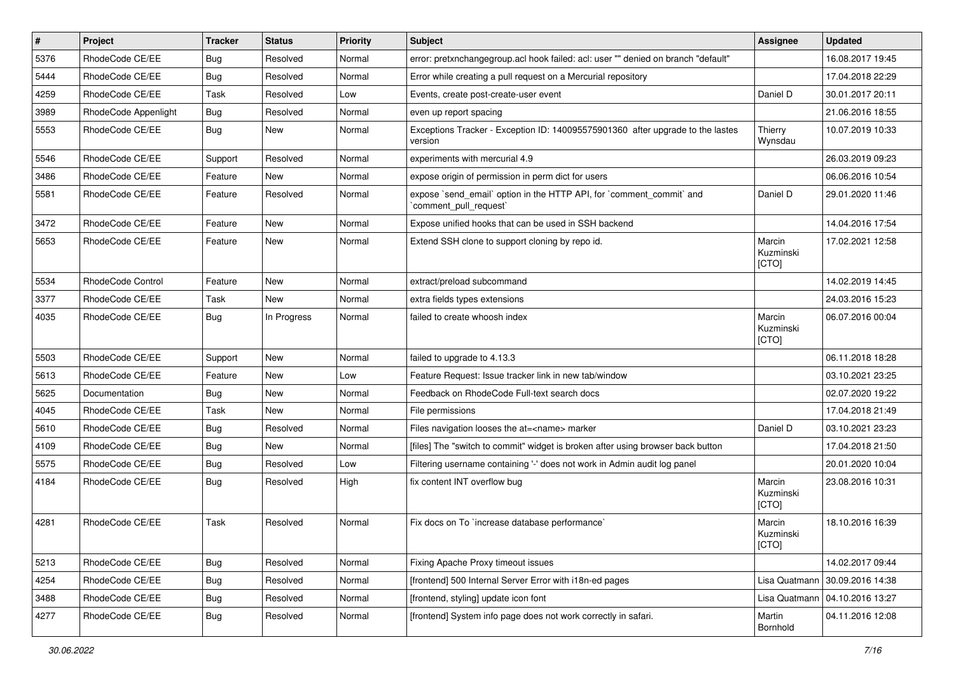| $\vert$ # | Project              | <b>Tracker</b> | <b>Status</b> | Priority | <b>Subject</b>                                                                                 | <b>Assignee</b>              | <b>Updated</b>                   |
|-----------|----------------------|----------------|---------------|----------|------------------------------------------------------------------------------------------------|------------------------------|----------------------------------|
| 5376      | RhodeCode CE/EE      | Bug            | Resolved      | Normal   | error: pretxnchangegroup.acl hook failed: acl: user "" denied on branch "default"              |                              | 16.08.2017 19:45                 |
| 5444      | RhodeCode CE/EE      | Bug            | Resolved      | Normal   | Error while creating a pull request on a Mercurial repository                                  |                              | 17.04.2018 22:29                 |
| 4259      | RhodeCode CE/EE      | Task           | Resolved      | Low      | Events, create post-create-user event                                                          | Daniel D                     | 30.01.2017 20:11                 |
| 3989      | RhodeCode Appenlight | Bug            | Resolved      | Normal   | even up report spacing                                                                         |                              | 21.06.2016 18:55                 |
| 5553      | RhodeCode CE/EE      | <b>Bug</b>     | <b>New</b>    | Normal   | Exceptions Tracker - Exception ID: 140095575901360 after upgrade to the lastes<br>version      | Thierry<br>Wynsdau           | 10.07.2019 10:33                 |
| 5546      | RhodeCode CE/EE      | Support        | Resolved      | Normal   | experiments with mercurial 4.9                                                                 |                              | 26.03.2019 09:23                 |
| 3486      | RhodeCode CE/EE      | Feature        | <b>New</b>    | Normal   | expose origin of permission in perm dict for users                                             |                              | 06.06.2016 10:54                 |
| 5581      | RhodeCode CE/EE      | Feature        | Resolved      | Normal   | expose `send_email` option in the HTTP API, for `comment_commit` and<br>`comment_pull_request` | Daniel D                     | 29.01.2020 11:46                 |
| 3472      | RhodeCode CE/EE      | Feature        | New           | Normal   | Expose unified hooks that can be used in SSH backend                                           |                              | 14.04.2016 17:54                 |
| 5653      | RhodeCode CE/EE      | Feature        | New           | Normal   | Extend SSH clone to support cloning by repo id.                                                | Marcin<br>Kuzminski<br>[CTO] | 17.02.2021 12:58                 |
| 5534      | RhodeCode Control    | Feature        | <b>New</b>    | Normal   | extract/preload subcommand                                                                     |                              | 14.02.2019 14:45                 |
| 3377      | RhodeCode CE/EE      | Task           | <b>New</b>    | Normal   | extra fields types extensions                                                                  |                              | 24.03.2016 15:23                 |
| 4035      | RhodeCode CE/EE      | Bug            | In Progress   | Normal   | failed to create whoosh index                                                                  | Marcin<br>Kuzminski<br>[CTO] | 06.07.2016 00:04                 |
| 5503      | RhodeCode CE/EE      | Support        | New           | Normal   | failed to upgrade to 4.13.3                                                                    |                              | 06.11.2018 18:28                 |
| 5613      | RhodeCode CE/EE      | Feature        | <b>New</b>    | Low      | Feature Request: Issue tracker link in new tab/window                                          |                              | 03.10.2021 23:25                 |
| 5625      | Documentation        | Bug            | New           | Normal   | Feedback on RhodeCode Full-text search docs                                                    |                              | 02.07.2020 19:22                 |
| 4045      | RhodeCode CE/EE      | Task           | <b>New</b>    | Normal   | File permissions                                                                               |                              | 17.04.2018 21:49                 |
| 5610      | RhodeCode CE/EE      | Bug            | Resolved      | Normal   | Files navigation looses the at= <name> marker</name>                                           | Daniel D                     | 03.10.2021 23:23                 |
| 4109      | RhodeCode CE/EE      | Bug            | New           | Normal   | [files] The "switch to commit" widget is broken after using browser back button                |                              | 17.04.2018 21:50                 |
| 5575      | RhodeCode CE/EE      | Bug            | Resolved      | Low      | Filtering username containing '-' does not work in Admin audit log panel                       |                              | 20.01.2020 10:04                 |
| 4184      | RhodeCode CE/EE      | Bug            | Resolved      | High     | fix content INT overflow bug                                                                   | Marcin<br>Kuzminski<br>[CTO] | 23.08.2016 10:31                 |
| 4281      | RhodeCode CE/EE      | Task           | Resolved      | Normal   | Fix docs on To `increase database performance`                                                 | Marcin<br>Kuzminski<br>[CTO] | 18.10.2016 16:39                 |
| 5213      | RhodeCode CE/EE      | Bug            | Resolved      | Normal   | Fixing Apache Proxy timeout issues                                                             |                              | 14.02.2017 09:44                 |
| 4254      | RhodeCode CE/EE      | Bug            | Resolved      | Normal   | [frontend] 500 Internal Server Error with i18n-ed pages                                        |                              | Lisa Quatmann   30.09.2016 14:38 |
| 3488      | RhodeCode CE/EE      | <b>Bug</b>     | Resolved      | Normal   | [frontend, styling] update icon font                                                           | Lisa Quatmann                | 04.10.2016 13:27                 |
| 4277      | RhodeCode CE/EE      | <b>Bug</b>     | Resolved      | Normal   | [frontend] System info page does not work correctly in safari.                                 | Martin<br>Bornhold           | 04.11.2016 12:08                 |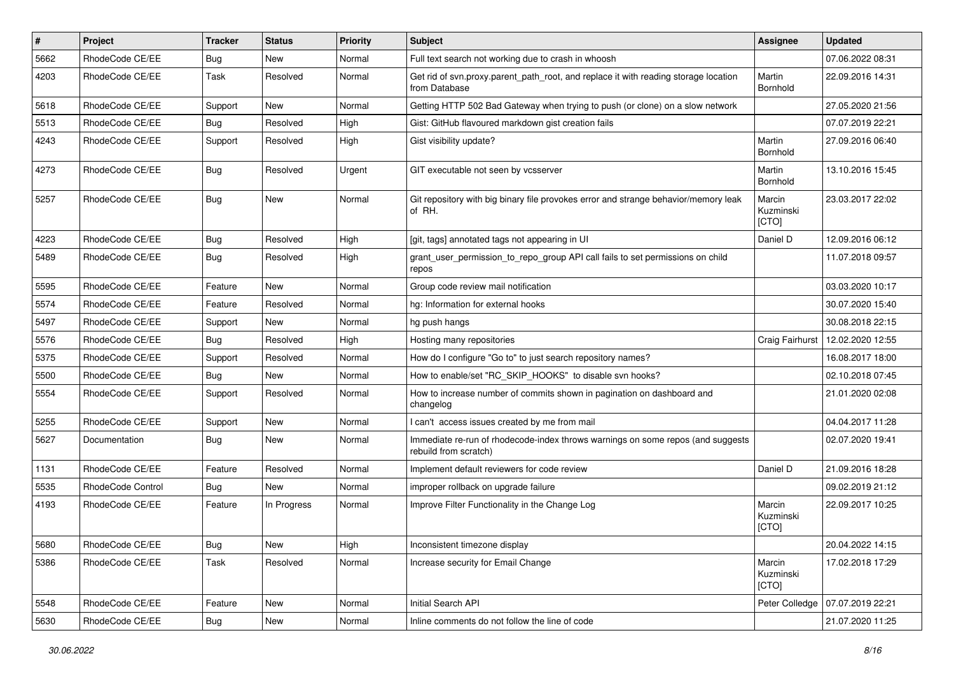| #    | Project           | <b>Tracker</b> | <b>Status</b> | Priority | <b>Subject</b>                                                                                           | <b>Assignee</b>              | <b>Updated</b>   |
|------|-------------------|----------------|---------------|----------|----------------------------------------------------------------------------------------------------------|------------------------------|------------------|
| 5662 | RhodeCode CE/EE   | Bug            | New           | Normal   | Full text search not working due to crash in whoosh                                                      |                              | 07.06.2022 08:31 |
| 4203 | RhodeCode CE/EE   | Task           | Resolved      | Normal   | Get rid of svn.proxy.parent_path_root, and replace it with reading storage location<br>from Database     | Martin<br>Bornhold           | 22.09.2016 14:31 |
| 5618 | RhodeCode CE/EE   | Support        | New           | Normal   | Getting HTTP 502 Bad Gateway when trying to push (or clone) on a slow network                            |                              | 27.05.2020 21:56 |
| 5513 | RhodeCode CE/EE   | Bug            | Resolved      | High     | Gist: GitHub flavoured markdown gist creation fails                                                      |                              | 07.07.2019 22:21 |
| 4243 | RhodeCode CE/EE   | Support        | Resolved      | High     | Gist visibility update?                                                                                  | Martin<br>Bornhold           | 27.09.2016 06:40 |
| 4273 | RhodeCode CE/EE   | <b>Bug</b>     | Resolved      | Urgent   | GIT executable not seen by vcsserver                                                                     | Martin<br>Bornhold           | 13.10.2016 15:45 |
| 5257 | RhodeCode CE/EE   | <b>Bug</b>     | <b>New</b>    | Normal   | Git repository with big binary file provokes error and strange behavior/memory leak<br>of RH.            | Marcin<br>Kuzminski<br>[CTO] | 23.03.2017 22:02 |
| 4223 | RhodeCode CE/EE   | Bug            | Resolved      | High     | [git, tags] annotated tags not appearing in UI                                                           | Daniel D                     | 12.09.2016 06:12 |
| 5489 | RhodeCode CE/EE   | Bug            | Resolved      | High     | grant_user_permission_to_repo_group API call fails to set permissions on child<br>repos                  |                              | 11.07.2018 09:57 |
| 5595 | RhodeCode CE/EE   | Feature        | New           | Normal   | Group code review mail notification                                                                      |                              | 03.03.2020 10:17 |
| 5574 | RhodeCode CE/EE   | Feature        | Resolved      | Normal   | hg: Information for external hooks                                                                       |                              | 30.07.2020 15:40 |
| 5497 | RhodeCode CE/EE   | Support        | <b>New</b>    | Normal   | hg push hangs                                                                                            |                              | 30.08.2018 22:15 |
| 5576 | RhodeCode CE/EE   | Bug            | Resolved      | High     | Hosting many repositories                                                                                | Craig Fairhurst              | 12.02.2020 12:55 |
| 5375 | RhodeCode CE/EE   | Support        | Resolved      | Normal   | How do I configure "Go to" to just search repository names?                                              |                              | 16.08.2017 18:00 |
| 5500 | RhodeCode CE/EE   | Bug            | <b>New</b>    | Normal   | How to enable/set "RC_SKIP_HOOKS" to disable svn hooks?                                                  |                              | 02.10.2018 07:45 |
| 5554 | RhodeCode CE/EE   | Support        | Resolved      | Normal   | How to increase number of commits shown in pagination on dashboard and<br>changelog                      |                              | 21.01.2020 02:08 |
| 5255 | RhodeCode CE/EE   | Support        | New           | Normal   | I can't access issues created by me from mail                                                            |                              | 04.04.2017 11:28 |
| 5627 | Documentation     | Bug            | New           | Normal   | Immediate re-run of rhodecode-index throws warnings on some repos (and suggests<br>rebuild from scratch) |                              | 02.07.2020 19:41 |
| 1131 | RhodeCode CE/EE   | Feature        | Resolved      | Normal   | Implement default reviewers for code review                                                              | Daniel D                     | 21.09.2016 18:28 |
| 5535 | RhodeCode Control | Bug            | New           | Normal   | improper rollback on upgrade failure                                                                     |                              | 09.02.2019 21:12 |
| 4193 | RhodeCode CE/EE   | Feature        | In Progress   | Normal   | Improve Filter Functionality in the Change Log                                                           | Marcin<br>Kuzminski<br>[CTO] | 22.09.2017 10:25 |
| 5680 | RhodeCode CE/EE   | Bug            | New           | High     | Inconsistent timezone display                                                                            |                              | 20.04.2022 14:15 |
| 5386 | RhodeCode CE/EE   | Task           | Resolved      | Normal   | Increase security for Email Change                                                                       | Marcin<br>Kuzminski<br>[CTO] | 17.02.2018 17:29 |
| 5548 | RhodeCode CE/EE   | Feature        | New           | Normal   | Initial Search API                                                                                       | Peter Colledge               | 07.07.2019 22:21 |
| 5630 | RhodeCode CE/EE   | <b>Bug</b>     | New           | Normal   | Inline comments do not follow the line of code                                                           |                              | 21.07.2020 11:25 |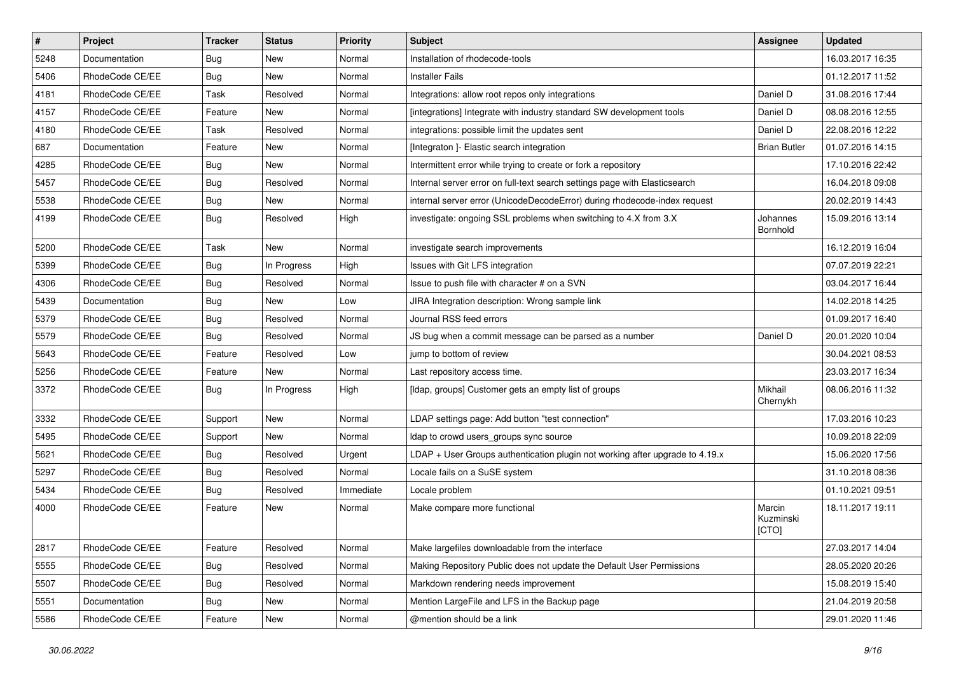| $\pmb{\#}$ | Project         | <b>Tracker</b> | <b>Status</b> | <b>Priority</b> | Subject                                                                      | Assignee                     | <b>Updated</b>   |
|------------|-----------------|----------------|---------------|-----------------|------------------------------------------------------------------------------|------------------------------|------------------|
| 5248       | Documentation   | <b>Bug</b>     | New           | Normal          | Installation of rhodecode-tools                                              |                              | 16.03.2017 16:35 |
| 5406       | RhodeCode CE/EE | Bug            | <b>New</b>    | Normal          | <b>Installer Fails</b>                                                       |                              | 01.12.2017 11:52 |
| 4181       | RhodeCode CE/EE | Task           | Resolved      | Normal          | Integrations: allow root repos only integrations                             | Daniel D                     | 31.08.2016 17:44 |
| 4157       | RhodeCode CE/EE | Feature        | New           | Normal          | [integrations] Integrate with industry standard SW development tools         | Daniel D                     | 08.08.2016 12:55 |
| 4180       | RhodeCode CE/EE | Task           | Resolved      | Normal          | integrations: possible limit the updates sent                                | Daniel D                     | 22.08.2016 12:22 |
| 687        | Documentation   | Feature        | New           | Normal          | [Integraton ]- Elastic search integration                                    | <b>Brian Butler</b>          | 01.07.2016 14:15 |
| 4285       | RhodeCode CE/EE | <b>Bug</b>     | <b>New</b>    | Normal          | Intermittent error while trying to create or fork a repository               |                              | 17.10.2016 22:42 |
| 5457       | RhodeCode CE/EE | Bug            | Resolved      | Normal          | Internal server error on full-text search settings page with Elasticsearch   |                              | 16.04.2018 09:08 |
| 5538       | RhodeCode CE/EE | <b>Bug</b>     | New           | Normal          | internal server error (UnicodeDecodeError) during rhodecode-index request    |                              | 20.02.2019 14:43 |
| 4199       | RhodeCode CE/EE | Bug            | Resolved      | High            | investigate: ongoing SSL problems when switching to 4.X from 3.X             | Johannes<br>Bornhold         | 15.09.2016 13:14 |
| 5200       | RhodeCode CE/EE | Task           | New           | Normal          | investigate search improvements                                              |                              | 16.12.2019 16:04 |
| 5399       | RhodeCode CE/EE | <b>Bug</b>     | In Progress   | High            | Issues with Git LFS integration                                              |                              | 07.07.2019 22:21 |
| 4306       | RhodeCode CE/EE | Bug            | Resolved      | Normal          | Issue to push file with character # on a SVN                                 |                              | 03.04.2017 16:44 |
| 5439       | Documentation   | <b>Bug</b>     | <b>New</b>    | Low             | JIRA Integration description: Wrong sample link                              |                              | 14.02.2018 14:25 |
| 5379       | RhodeCode CE/EE | Bug            | Resolved      | Normal          | Journal RSS feed errors                                                      |                              | 01.09.2017 16:40 |
| 5579       | RhodeCode CE/EE | Bug            | Resolved      | Normal          | JS bug when a commit message can be parsed as a number                       | Daniel D                     | 20.01.2020 10:04 |
| 5643       | RhodeCode CE/EE | Feature        | Resolved      | Low             | jump to bottom of review                                                     |                              | 30.04.2021 08:53 |
| 5256       | RhodeCode CE/EE | Feature        | New           | Normal          | Last repository access time.                                                 |                              | 23.03.2017 16:34 |
| 3372       | RhodeCode CE/EE | Bug            | In Progress   | High            | [Idap, groups] Customer gets an empty list of groups                         | Mikhail<br>Chernykh          | 08.06.2016 11:32 |
| 3332       | RhodeCode CE/EE | Support        | <b>New</b>    | Normal          | LDAP settings page: Add button "test connection"                             |                              | 17.03.2016 10:23 |
| 5495       | RhodeCode CE/EE | Support        | <b>New</b>    | Normal          | Idap to crowd users_groups sync source                                       |                              | 10.09.2018 22:09 |
| 5621       | RhodeCode CE/EE | Bug            | Resolved      | Urgent          | LDAP + User Groups authentication plugin not working after upgrade to 4.19.x |                              | 15.06.2020 17:56 |
| 5297       | RhodeCode CE/EE | Bug            | Resolved      | Normal          | Locale fails on a SuSE system                                                |                              | 31.10.2018 08:36 |
| 5434       | RhodeCode CE/EE | Bug            | Resolved      | Immediate       | Locale problem                                                               |                              | 01.10.2021 09:51 |
| 4000       | RhodeCode CE/EE | Feature        | New           | Normal          | Make compare more functional                                                 | Marcin<br>Kuzminski<br>[CTO] | 18.11.2017 19:11 |
| 2817       | RhodeCode CE/EE | Feature        | Resolved      | Normal          | Make largefiles downloadable from the interface                              |                              | 27.03.2017 14:04 |
| 5555       | RhodeCode CE/EE | Bug            | Resolved      | Normal          | Making Repository Public does not update the Default User Permissions        |                              | 28.05.2020 20:26 |
| 5507       | RhodeCode CE/EE | <b>Bug</b>     | Resolved      | Normal          | Markdown rendering needs improvement                                         |                              | 15.08.2019 15:40 |
| 5551       | Documentation   | <b>Bug</b>     | New           | Normal          | Mention Large File and LFS in the Backup page                                |                              | 21.04.2019 20:58 |
| 5586       | RhodeCode CE/EE | Feature        | New           | Normal          | @mention should be a link                                                    |                              | 29.01.2020 11:46 |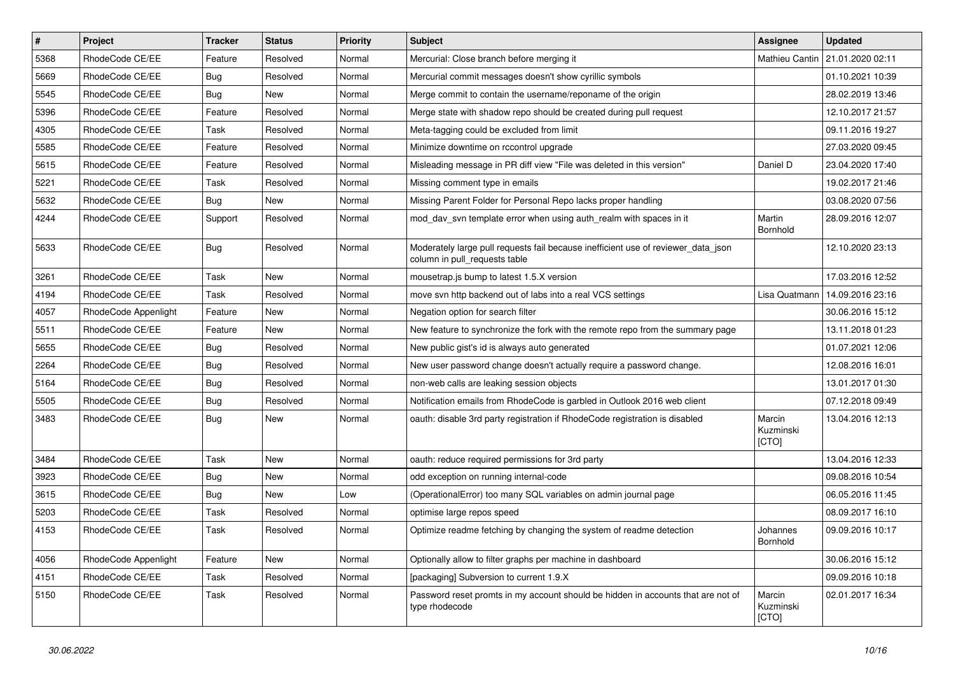| $\sharp$ | Project              | <b>Tracker</b> | <b>Status</b> | Priority | <b>Subject</b>                                                                                                     | <b>Assignee</b>              | <b>Updated</b>   |
|----------|----------------------|----------------|---------------|----------|--------------------------------------------------------------------------------------------------------------------|------------------------------|------------------|
| 5368     | RhodeCode CE/EE      | Feature        | Resolved      | Normal   | Mercurial: Close branch before merging it                                                                          | Mathieu Cantin               | 21.01.2020 02:11 |
| 5669     | RhodeCode CE/EE      | <b>Bug</b>     | Resolved      | Normal   | Mercurial commit messages doesn't show cyrillic symbols                                                            |                              | 01.10.2021 10:39 |
| 5545     | RhodeCode CE/EE      | Bug            | New           | Normal   | Merge commit to contain the username/reponame of the origin                                                        |                              | 28.02.2019 13:46 |
| 5396     | RhodeCode CE/EE      | Feature        | Resolved      | Normal   | Merge state with shadow repo should be created during pull request                                                 |                              | 12.10.2017 21:57 |
| 4305     | RhodeCode CE/EE      | Task           | Resolved      | Normal   | Meta-tagging could be excluded from limit                                                                          |                              | 09.11.2016 19:27 |
| 5585     | RhodeCode CE/EE      | Feature        | Resolved      | Normal   | Minimize downtime on rccontrol upgrade                                                                             |                              | 27.03.2020 09:45 |
| 5615     | RhodeCode CE/EE      | Feature        | Resolved      | Normal   | Misleading message in PR diff view "File was deleted in this version"                                              | Daniel D                     | 23.04.2020 17:40 |
| 5221     | RhodeCode CE/EE      | Task           | Resolved      | Normal   | Missing comment type in emails                                                                                     |                              | 19.02.2017 21:46 |
| 5632     | RhodeCode CE/EE      | Bug            | <b>New</b>    | Normal   | Missing Parent Folder for Personal Repo lacks proper handling                                                      |                              | 03.08.2020 07:56 |
| 4244     | RhodeCode CE/EE      | Support        | Resolved      | Normal   | mod_dav_svn template error when using auth_realm with spaces in it                                                 | Martin<br>Bornhold           | 28.09.2016 12:07 |
| 5633     | RhodeCode CE/EE      | Bug            | Resolved      | Normal   | Moderately large pull requests fail because inefficient use of reviewer_data_json<br>column in pull requests table |                              | 12.10.2020 23:13 |
| 3261     | RhodeCode CE/EE      | Task           | New           | Normal   | mousetrap.js bump to latest 1.5.X version                                                                          |                              | 17.03.2016 12:52 |
| 4194     | RhodeCode CE/EE      | Task           | Resolved      | Normal   | move svn http backend out of labs into a real VCS settings                                                         | Lisa Quatmann                | 14.09.2016 23:16 |
| 4057     | RhodeCode Appenlight | Feature        | New           | Normal   | Negation option for search filter                                                                                  |                              | 30.06.2016 15:12 |
| 5511     | RhodeCode CE/EE      | Feature        | New           | Normal   | New feature to synchronize the fork with the remote repo from the summary page                                     |                              | 13.11.2018 01:23 |
| 5655     | RhodeCode CE/EE      | <b>Bug</b>     | Resolved      | Normal   | New public gist's id is always auto generated                                                                      |                              | 01.07.2021 12:06 |
| 2264     | RhodeCode CE/EE      | Bug            | Resolved      | Normal   | New user password change doesn't actually require a password change.                                               |                              | 12.08.2016 16:01 |
| 5164     | RhodeCode CE/EE      | <b>Bug</b>     | Resolved      | Normal   | non-web calls are leaking session objects                                                                          |                              | 13.01.2017 01:30 |
| 5505     | RhodeCode CE/EE      | Bug            | Resolved      | Normal   | Notification emails from RhodeCode is garbled in Outlook 2016 web client                                           |                              | 07.12.2018 09:49 |
| 3483     | RhodeCode CE/EE      | Bug            | New           | Normal   | oauth: disable 3rd party registration if RhodeCode registration is disabled                                        | Marcin<br>Kuzminski<br>[CTO] | 13.04.2016 12:13 |
| 3484     | RhodeCode CE/EE      | Task           | <b>New</b>    | Normal   | oauth: reduce required permissions for 3rd party                                                                   |                              | 13.04.2016 12:33 |
| 3923     | RhodeCode CE/EE      | <b>Bug</b>     | New           | Normal   | odd exception on running internal-code                                                                             |                              | 09.08.2016 10:54 |
| 3615     | RhodeCode CE/EE      | Bug            | New           | Low      | (OperationalError) too many SQL variables on admin journal page                                                    |                              | 06.05.2016 11:45 |
| 5203     | RhodeCode CE/EE      | Task           | Resolved      | Normal   | optimise large repos speed                                                                                         |                              | 08.09.2017 16:10 |
| 4153     | RhodeCode CE/EE      | Task           | Resolved      | Normal   | Optimize readme fetching by changing the system of readme detection                                                | Johannes<br><b>Bornhold</b>  | 09.09.2016 10:17 |
| 4056     | RhodeCode Appenlight | Feature        | <b>New</b>    | Normal   | Optionally allow to filter graphs per machine in dashboard                                                         |                              | 30.06.2016 15:12 |
| 4151     | RhodeCode CE/EE      | Task           | Resolved      | Normal   | [packaging] Subversion to current 1.9.X                                                                            |                              | 09.09.2016 10:18 |
| 5150     | RhodeCode CE/EE      | Task           | Resolved      | Normal   | Password reset promts in my account should be hidden in accounts that are not of<br>type rhodecode                 | Marcin<br>Kuzminski<br>[CTO] | 02.01.2017 16:34 |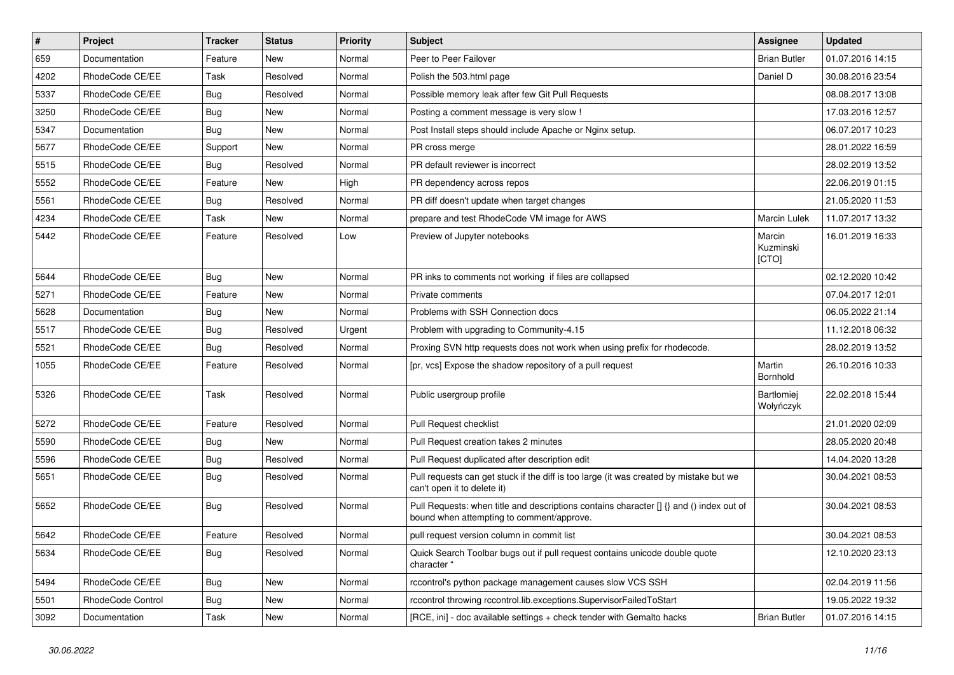| $\vert$ # | Project           | Tracker    | <b>Status</b> | <b>Priority</b> | Subject                                                                                                                              | Assignee                     | <b>Updated</b>   |
|-----------|-------------------|------------|---------------|-----------------|--------------------------------------------------------------------------------------------------------------------------------------|------------------------------|------------------|
| 659       | Documentation     | Feature    | New           | Normal          | Peer to Peer Failover                                                                                                                | <b>Brian Butler</b>          | 01.07.2016 14:15 |
| 4202      | RhodeCode CE/EE   | Task       | Resolved      | Normal          | Polish the 503.html page                                                                                                             | Daniel D                     | 30.08.2016 23:54 |
| 5337      | RhodeCode CE/EE   | Bug        | Resolved      | Normal          | Possible memory leak after few Git Pull Requests                                                                                     |                              | 08.08.2017 13:08 |
| 3250      | RhodeCode CE/EE   | <b>Bug</b> | New           | Normal          | Posting a comment message is very slow !                                                                                             |                              | 17.03.2016 12:57 |
| 5347      | Documentation     | <b>Bug</b> | New           | Normal          | Post Install steps should include Apache or Nginx setup.                                                                             |                              | 06.07.2017 10:23 |
| 5677      | RhodeCode CE/EE   | Support    | New           | Normal          | PR cross merge                                                                                                                       |                              | 28.01.2022 16:59 |
| 5515      | RhodeCode CE/EE   | Bug        | Resolved      | Normal          | PR default reviewer is incorrect                                                                                                     |                              | 28.02.2019 13:52 |
| 5552      | RhodeCode CE/EE   | Feature    | New           | High            | PR dependency across repos                                                                                                           |                              | 22.06.2019 01:15 |
| 5561      | RhodeCode CE/EE   | Bug        | Resolved      | Normal          | PR diff doesn't update when target changes                                                                                           |                              | 21.05.2020 11:53 |
| 4234      | RhodeCode CE/EE   | Task       | New           | Normal          | prepare and test RhodeCode VM image for AWS                                                                                          | <b>Marcin Lulek</b>          | 11.07.2017 13:32 |
| 5442      | RhodeCode CE/EE   | Feature    | Resolved      | Low             | Preview of Jupyter notebooks                                                                                                         | Marcin<br>Kuzminski<br>[CTO] | 16.01.2019 16:33 |
| 5644      | RhodeCode CE/EE   | <b>Bug</b> | New           | Normal          | PR inks to comments not working if files are collapsed                                                                               |                              | 02.12.2020 10:42 |
| 5271      | RhodeCode CE/EE   | Feature    | <b>New</b>    | Normal          | Private comments                                                                                                                     |                              | 07.04.2017 12:01 |
| 5628      | Documentation     | <b>Bug</b> | New           | Normal          | Problems with SSH Connection docs                                                                                                    |                              | 06.05.2022 21:14 |
| 5517      | RhodeCode CE/EE   | <b>Bug</b> | Resolved      | Urgent          | Problem with upgrading to Community-4.15                                                                                             |                              | 11.12.2018 06:32 |
| 5521      | RhodeCode CE/EE   | <b>Bug</b> | Resolved      | Normal          | Proxing SVN http requests does not work when using prefix for rhodecode.                                                             |                              | 28.02.2019 13:52 |
| 1055      | RhodeCode CE/EE   | Feature    | Resolved      | Normal          | [pr, vcs] Expose the shadow repository of a pull request                                                                             | Martin<br>Bornhold           | 26.10.2016 10:33 |
| 5326      | RhodeCode CE/EE   | Task       | Resolved      | Normal          | Public usergroup profile                                                                                                             | Bartłomiej<br>Wołyńczyk      | 22.02.2018 15:44 |
| 5272      | RhodeCode CE/EE   | Feature    | Resolved      | Normal          | Pull Request checklist                                                                                                               |                              | 21.01.2020 02:09 |
| 5590      | RhodeCode CE/EE   | <b>Bug</b> | New           | Normal          | Pull Request creation takes 2 minutes                                                                                                |                              | 28.05.2020 20:48 |
| 5596      | RhodeCode CE/EE   | <b>Bug</b> | Resolved      | Normal          | Pull Request duplicated after description edit                                                                                       |                              | 14.04.2020 13:28 |
| 5651      | RhodeCode CE/EE   | Bug        | Resolved      | Normal          | Pull requests can get stuck if the diff is too large (it was created by mistake but we<br>can't open it to delete it)                |                              | 30.04.2021 08:53 |
| 5652      | RhodeCode CE/EE   | Bug        | Resolved      | Normal          | Pull Requests: when title and descriptions contains character [] {} and () index out of<br>bound when attempting to comment/approve. |                              | 30.04.2021 08:53 |
| 5642      | RhodeCode CE/EE   | Feature    | Resolved      | Normal          | pull request version column in commit list                                                                                           |                              | 30.04.2021 08:53 |
| 5634      | RhodeCode CE/EE   | Bug        | Resolved      | Normal          | Quick Search Toolbar bugs out if pull request contains unicode double quote<br>character "                                           |                              | 12.10.2020 23:13 |
| 5494      | RhodeCode CE/EE   | Bug        | New           | Normal          | rccontrol's python package management causes slow VCS SSH                                                                            |                              | 02.04.2019 11:56 |
| 5501      | RhodeCode Control | <b>Bug</b> | New           | Normal          | rccontrol throwing rccontrol.lib.exceptions.SupervisorFailedToStart                                                                  |                              | 19.05.2022 19:32 |
| 3092      | Documentation     | Task       | New           | Normal          | [RCE, ini] - doc available settings + check tender with Gemalto hacks                                                                | <b>Brian Butler</b>          | 01.07.2016 14:15 |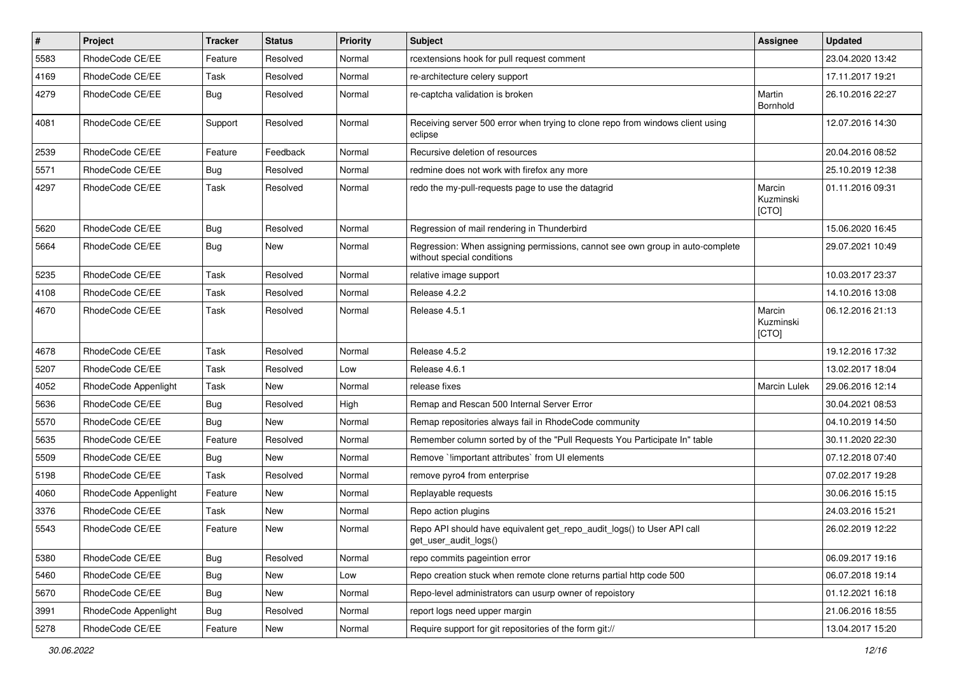| $\vert$ # | Project              | <b>Tracker</b> | <b>Status</b> | <b>Priority</b> | Subject                                                                                                     | Assignee                     | <b>Updated</b>   |
|-----------|----------------------|----------------|---------------|-----------------|-------------------------------------------------------------------------------------------------------------|------------------------------|------------------|
| 5583      | RhodeCode CE/EE      | Feature        | Resolved      | Normal          | rcextensions hook for pull request comment                                                                  |                              | 23.04.2020 13:42 |
| 4169      | RhodeCode CE/EE      | Task           | Resolved      | Normal          | re-architecture celery support                                                                              |                              | 17.11.2017 19:21 |
| 4279      | RhodeCode CE/EE      | Bug            | Resolved      | Normal          | re-captcha validation is broken                                                                             | Martin<br>Bornhold           | 26.10.2016 22:27 |
| 4081      | RhodeCode CE/EE      | Support        | Resolved      | Normal          | Receiving server 500 error when trying to clone repo from windows client using<br>eclipse                   |                              | 12.07.2016 14:30 |
| 2539      | RhodeCode CE/EE      | Feature        | Feedback      | Normal          | Recursive deletion of resources                                                                             |                              | 20.04.2016 08:52 |
| 5571      | RhodeCode CE/EE      | Bug            | Resolved      | Normal          | redmine does not work with firefox any more                                                                 |                              | 25.10.2019 12:38 |
| 4297      | RhodeCode CE/EE      | Task           | Resolved      | Normal          | redo the my-pull-requests page to use the datagrid                                                          | Marcin<br>Kuzminski<br>[CTO] | 01.11.2016 09:31 |
| 5620      | RhodeCode CE/EE      | <b>Bug</b>     | Resolved      | Normal          | Regression of mail rendering in Thunderbird                                                                 |                              | 15.06.2020 16:45 |
| 5664      | RhodeCode CE/EE      | Bug            | New           | Normal          | Regression: When assigning permissions, cannot see own group in auto-complete<br>without special conditions |                              | 29.07.2021 10:49 |
| 5235      | RhodeCode CE/EE      | Task           | Resolved      | Normal          | relative image support                                                                                      |                              | 10.03.2017 23:37 |
| 4108      | RhodeCode CE/EE      | Task           | Resolved      | Normal          | Release 4.2.2                                                                                               |                              | 14.10.2016 13:08 |
| 4670      | RhodeCode CE/EE      | Task           | Resolved      | Normal          | Release 4.5.1                                                                                               | Marcin<br>Kuzminski<br>[CTO] | 06.12.2016 21:13 |
| 4678      | RhodeCode CE/EE      | Task           | Resolved      | Normal          | Release 4.5.2                                                                                               |                              | 19.12.2016 17:32 |
| 5207      | RhodeCode CE/EE      | Task           | Resolved      | Low             | Release 4.6.1                                                                                               |                              | 13.02.2017 18:04 |
| 4052      | RhodeCode Appenlight | Task           | <b>New</b>    | Normal          | release fixes                                                                                               | <b>Marcin Lulek</b>          | 29.06.2016 12:14 |
| 5636      | RhodeCode CE/EE      | <b>Bug</b>     | Resolved      | High            | Remap and Rescan 500 Internal Server Error                                                                  |                              | 30.04.2021 08:53 |
| 5570      | RhodeCode CE/EE      | Bug            | New           | Normal          | Remap repositories always fail in RhodeCode community                                                       |                              | 04.10.2019 14:50 |
| 5635      | RhodeCode CE/EE      | Feature        | Resolved      | Normal          | Remember column sorted by of the "Pull Requests You Participate In" table                                   |                              | 30.11.2020 22:30 |
| 5509      | RhodeCode CE/EE      | Bug            | New           | Normal          | Remove `limportant attributes` from UI elements                                                             |                              | 07.12.2018 07:40 |
| 5198      | RhodeCode CE/EE      | Task           | Resolved      | Normal          | remove pyro4 from enterprise                                                                                |                              | 07.02.2017 19:28 |
| 4060      | RhodeCode Appenlight | Feature        | New           | Normal          | Replayable requests                                                                                         |                              | 30.06.2016 15:15 |
| 3376      | RhodeCode CE/EE      | Task           | <b>New</b>    | Normal          | Repo action plugins                                                                                         |                              | 24.03.2016 15:21 |
| 5543      | RhodeCode CE/EE      | Feature        | New           | Normal          | Repo API should have equivalent get_repo_audit_logs() to User API call<br>get_user_audit_logs()             |                              | 26.02.2019 12:22 |
| 5380      | RhodeCode CE/EE      | Bug            | Resolved      | Normal          | repo commits pageintion error                                                                               |                              | 06.09.2017 19:16 |
| 5460      | RhodeCode CE/EE      | Bug            | New           | Low             | Repo creation stuck when remote clone returns partial http code 500                                         |                              | 06.07.2018 19:14 |
| 5670      | RhodeCode CE/EE      | Bug            | New           | Normal          | Repo-level administrators can usurp owner of repoistory                                                     |                              | 01.12.2021 16:18 |
| 3991      | RhodeCode Appenlight | Bug            | Resolved      | Normal          | report logs need upper margin                                                                               |                              | 21.06.2016 18:55 |
| 5278      | RhodeCode CE/EE      | Feature        | New           | Normal          | Require support for git repositories of the form git://                                                     |                              | 13.04.2017 15:20 |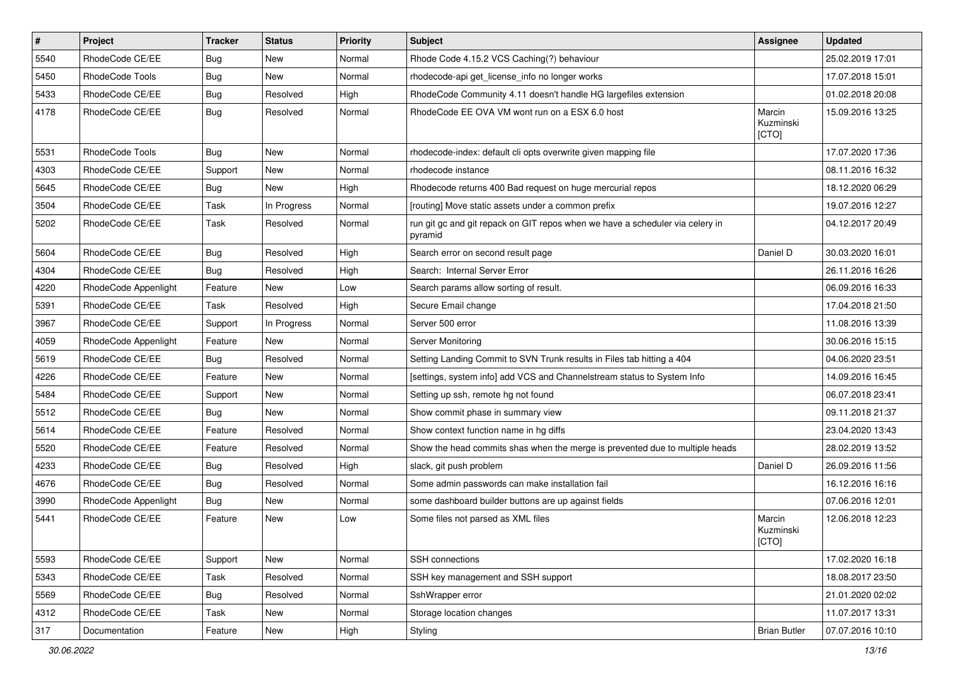| $\vert$ # | Project              | <b>Tracker</b> | <b>Status</b> | <b>Priority</b> | <b>Subject</b>                                                                           | <b>Assignee</b>              | <b>Updated</b>   |
|-----------|----------------------|----------------|---------------|-----------------|------------------------------------------------------------------------------------------|------------------------------|------------------|
| 5540      | RhodeCode CE/EE      | Bug            | New           | Normal          | Rhode Code 4.15.2 VCS Caching(?) behaviour                                               |                              | 25.02.2019 17:01 |
| 5450      | RhodeCode Tools      | Bug            | <b>New</b>    | Normal          | rhodecode-api get_license_info no longer works                                           |                              | 17.07.2018 15:01 |
| 5433      | RhodeCode CE/EE      | Bug            | Resolved      | High            | RhodeCode Community 4.11 doesn't handle HG largefiles extension                          |                              | 01.02.2018 20:08 |
| 4178      | RhodeCode CE/EE      | Bug            | Resolved      | Normal          | RhodeCode EE OVA VM wont run on a ESX 6.0 host                                           | Marcin<br>Kuzminski<br>[CTO] | 15.09.2016 13:25 |
| 5531      | RhodeCode Tools      | Bug            | New           | Normal          | rhodecode-index: default cli opts overwrite given mapping file                           |                              | 17.07.2020 17:36 |
| 4303      | RhodeCode CE/EE      | Support        | <b>New</b>    | Normal          | rhodecode instance                                                                       |                              | 08.11.2016 16:32 |
| 5645      | RhodeCode CE/EE      | Bug            | New           | High            | Rhodecode returns 400 Bad request on huge mercurial repos                                |                              | 18.12.2020 06:29 |
| 3504      | RhodeCode CE/EE      | Task           | In Progress   | Normal          | [routing] Move static assets under a common prefix                                       |                              | 19.07.2016 12:27 |
| 5202      | RhodeCode CE/EE      | Task           | Resolved      | Normal          | run git gc and git repack on GIT repos when we have a scheduler via celery in<br>pyramid |                              | 04.12.2017 20:49 |
| 5604      | RhodeCode CE/EE      | Bug            | Resolved      | High            | Search error on second result page                                                       | Daniel D                     | 30.03.2020 16:01 |
| 4304      | RhodeCode CE/EE      | Bug            | Resolved      | High            | Search: Internal Server Error                                                            |                              | 26.11.2016 16:26 |
| 4220      | RhodeCode Appenlight | Feature        | New           | Low             | Search params allow sorting of result.                                                   |                              | 06.09.2016 16:33 |
| 5391      | RhodeCode CE/EE      | Task           | Resolved      | High            | Secure Email change                                                                      |                              | 17.04.2018 21:50 |
| 3967      | RhodeCode CE/EE      | Support        | In Progress   | Normal          | Server 500 error                                                                         |                              | 11.08.2016 13:39 |
| 4059      | RhodeCode Appenlight | Feature        | <b>New</b>    | Normal          | Server Monitoring                                                                        |                              | 30.06.2016 15:15 |
| 5619      | RhodeCode CE/EE      | Bug            | Resolved      | Normal          | Setting Landing Commit to SVN Trunk results in Files tab hitting a 404                   |                              | 04.06.2020 23:51 |
| 4226      | RhodeCode CE/EE      | Feature        | <b>New</b>    | Normal          | [settings, system info] add VCS and Channelstream status to System Info                  |                              | 14.09.2016 16:45 |
| 5484      | RhodeCode CE/EE      | Support        | <b>New</b>    | Normal          | Setting up ssh, remote hg not found                                                      |                              | 06.07.2018 23:41 |
| 5512      | RhodeCode CE/EE      | Bug            | <b>New</b>    | Normal          | Show commit phase in summary view                                                        |                              | 09.11.2018 21:37 |
| 5614      | RhodeCode CE/EE      | Feature        | Resolved      | Normal          | Show context function name in hg diffs                                                   |                              | 23.04.2020 13:43 |
| 5520      | RhodeCode CE/EE      | Feature        | Resolved      | Normal          | Show the head commits shas when the merge is prevented due to multiple heads             |                              | 28.02.2019 13:52 |
| 4233      | RhodeCode CE/EE      | Bug            | Resolved      | High            | slack, git push problem                                                                  | Daniel D                     | 26.09.2016 11:56 |
| 4676      | RhodeCode CE/EE      | Bug            | Resolved      | Normal          | Some admin passwords can make installation fail                                          |                              | 16.12.2016 16:16 |
| 3990      | RhodeCode Appenlight | Bug            | New           | Normal          | some dashboard builder buttons are up against fields                                     |                              | 07.06.2016 12:01 |
| 5441      | RhodeCode CE/EE      | Feature        | New           | Low             | Some files not parsed as XML files                                                       | Marcin<br>Kuzminski<br>[CTO] | 12.06.2018 12:23 |
| 5593      | RhodeCode CE/EE      | Support        | New           | Normal          | SSH connections                                                                          |                              | 17.02.2020 16:18 |
| 5343      | RhodeCode CE/EE      | Task           | Resolved      | Normal          | SSH key management and SSH support                                                       |                              | 18.08.2017 23:50 |
| 5569      | RhodeCode CE/EE      | Bug            | Resolved      | Normal          | SshWrapper error                                                                         |                              | 21.01.2020 02:02 |
| 4312      | RhodeCode CE/EE      | Task           | New           | Normal          | Storage location changes                                                                 |                              | 11.07.2017 13:31 |
| 317       | Documentation        | Feature        | New           | High            | Styling                                                                                  | <b>Brian Butler</b>          | 07.07.2016 10:10 |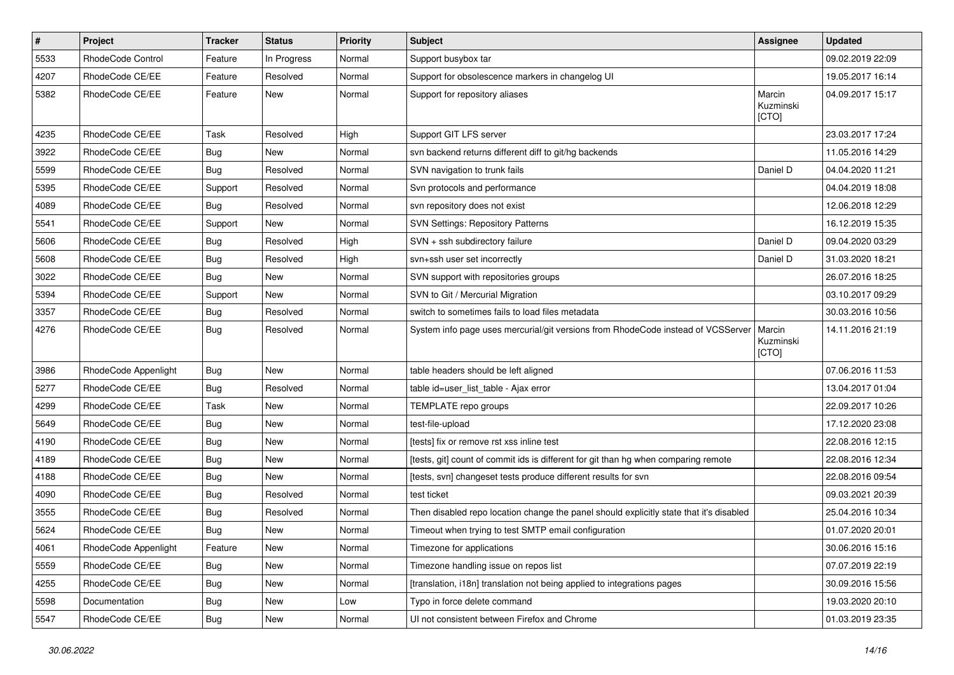| $\pmb{\#}$ | Project              | <b>Tracker</b> | <b>Status</b> | Priority | Subject                                                                                 | Assignee                     | <b>Updated</b>   |
|------------|----------------------|----------------|---------------|----------|-----------------------------------------------------------------------------------------|------------------------------|------------------|
| 5533       | RhodeCode Control    | Feature        | In Progress   | Normal   | Support busybox tar                                                                     |                              | 09.02.2019 22:09 |
| 4207       | RhodeCode CE/EE      | Feature        | Resolved      | Normal   | Support for obsolescence markers in changelog UI                                        |                              | 19.05.2017 16:14 |
| 5382       | RhodeCode CE/EE      | Feature        | <b>New</b>    | Normal   | Support for repository aliases                                                          | Marcin<br>Kuzminski<br>[CTO] | 04.09.2017 15:17 |
| 4235       | RhodeCode CE/EE      | Task           | Resolved      | High     | Support GIT LFS server                                                                  |                              | 23.03.2017 17:24 |
| 3922       | RhodeCode CE/EE      | Bug            | New           | Normal   | svn backend returns different diff to git/hg backends                                   |                              | 11.05.2016 14:29 |
| 5599       | RhodeCode CE/EE      | Bug            | Resolved      | Normal   | SVN navigation to trunk fails                                                           | Daniel D                     | 04.04.2020 11:21 |
| 5395       | RhodeCode CE/EE      | Support        | Resolved      | Normal   | Svn protocols and performance                                                           |                              | 04.04.2019 18:08 |
| 4089       | RhodeCode CE/EE      | Bug            | Resolved      | Normal   | svn repository does not exist                                                           |                              | 12.06.2018 12:29 |
| 5541       | RhodeCode CE/EE      | Support        | New           | Normal   | <b>SVN Settings: Repository Patterns</b>                                                |                              | 16.12.2019 15:35 |
| 5606       | RhodeCode CE/EE      | Bug            | Resolved      | High     | SVN + ssh subdirectory failure                                                          | Daniel D                     | 09.04.2020 03:29 |
| 5608       | RhodeCode CE/EE      | Bug            | Resolved      | High     | svn+ssh user set incorrectly                                                            | Daniel D                     | 31.03.2020 18:21 |
| 3022       | RhodeCode CE/EE      | <b>Bug</b>     | New           | Normal   | SVN support with repositories groups                                                    |                              | 26.07.2016 18:25 |
| 5394       | RhodeCode CE/EE      | Support        | <b>New</b>    | Normal   | SVN to Git / Mercurial Migration                                                        |                              | 03.10.2017 09:29 |
| 3357       | RhodeCode CE/EE      | Bug            | Resolved      | Normal   | switch to sometimes fails to load files metadata                                        |                              | 30.03.2016 10:56 |
| 4276       | RhodeCode CE/EE      | Bug            | Resolved      | Normal   | System info page uses mercurial/git versions from RhodeCode instead of VCSServer        | Marcin<br>Kuzminski<br>[CTO] | 14.11.2016 21:19 |
| 3986       | RhodeCode Appenlight | Bug            | New           | Normal   | table headers should be left aligned                                                    |                              | 07.06.2016 11:53 |
| 5277       | RhodeCode CE/EE      | Bug            | Resolved      | Normal   | table id=user list table - Ajax error                                                   |                              | 13.04.2017 01:04 |
| 4299       | RhodeCode CE/EE      | Task           | New           | Normal   | TEMPLATE repo groups                                                                    |                              | 22.09.2017 10:26 |
| 5649       | RhodeCode CE/EE      | Bug            | <b>New</b>    | Normal   | test-file-upload                                                                        |                              | 17.12.2020 23:08 |
| 4190       | RhodeCode CE/EE      | Bug            | New           | Normal   | [tests] fix or remove rst xss inline test                                               |                              | 22.08.2016 12:15 |
| 4189       | RhodeCode CE/EE      | Bug            | <b>New</b>    | Normal   | [tests, git] count of commit ids is different for git than hg when comparing remote     |                              | 22.08.2016 12:34 |
| 4188       | RhodeCode CE/EE      | Bug            | <b>New</b>    | Normal   | [tests, svn] changeset tests produce different results for svn                          |                              | 22.08.2016 09:54 |
| 4090       | RhodeCode CE/EE      | <b>Bug</b>     | Resolved      | Normal   | test ticket                                                                             |                              | 09.03.2021 20:39 |
| 3555       | RhodeCode CE/EE      | Bug            | Resolved      | Normal   | Then disabled repo location change the panel should explicitly state that it's disabled |                              | 25.04.2016 10:34 |
| 5624       | RhodeCode CE/EE      | <b>Bug</b>     | <b>New</b>    | Normal   | Timeout when trying to test SMTP email configuration                                    |                              | 01.07.2020 20:01 |
| 4061       | RhodeCode Appenlight | Feature        | New           | Normal   | Timezone for applications                                                               |                              | 30.06.2016 15:16 |
| 5559       | RhodeCode CE/EE      | <b>Bug</b>     | New           | Normal   | Timezone handling issue on repos list                                                   |                              | 07.07.2019 22:19 |
| 4255       | RhodeCode CE/EE      | <b>Bug</b>     | New           | Normal   | [translation, i18n] translation not being applied to integrations pages                 |                              | 30.09.2016 15:56 |
| 5598       | Documentation        | <b>Bug</b>     | New           | Low      | Typo in force delete command                                                            |                              | 19.03.2020 20:10 |
| 5547       | RhodeCode CE/EE      | <b>Bug</b>     | New           | Normal   | UI not consistent between Firefox and Chrome                                            |                              | 01.03.2019 23:35 |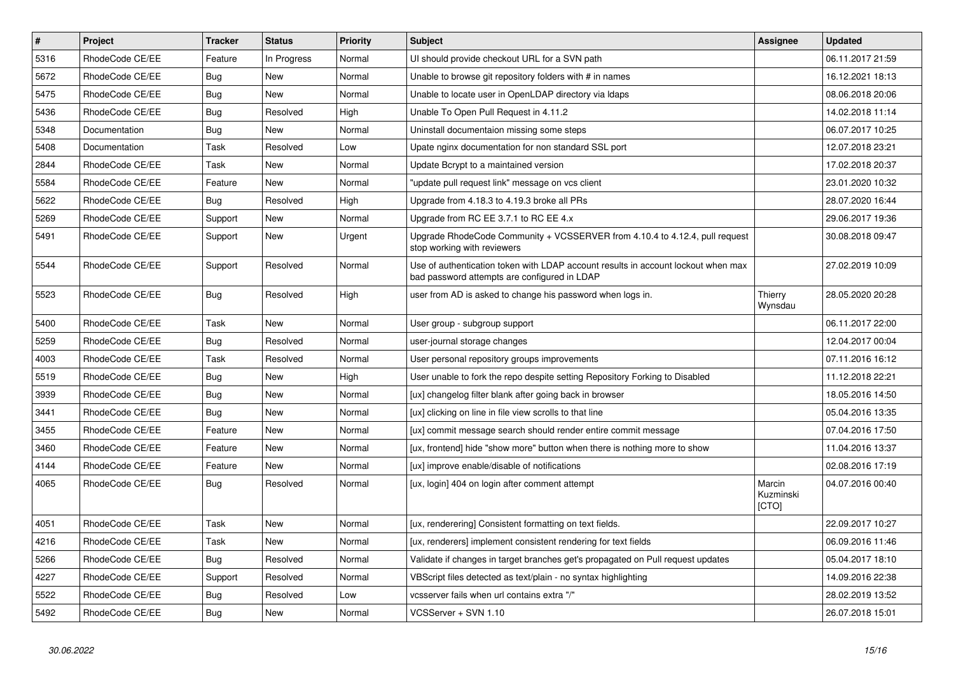| $\pmb{\#}$ | Project         | <b>Tracker</b> | <b>Status</b> | <b>Priority</b> | Subject                                                                                                                           | Assignee                     | <b>Updated</b>   |
|------------|-----------------|----------------|---------------|-----------------|-----------------------------------------------------------------------------------------------------------------------------------|------------------------------|------------------|
| 5316       | RhodeCode CE/EE | Feature        | In Progress   | Normal          | UI should provide checkout URL for a SVN path                                                                                     |                              | 06.11.2017 21:59 |
| 5672       | RhodeCode CE/EE | Bug            | <b>New</b>    | Normal          | Unable to browse git repository folders with # in names                                                                           |                              | 16.12.2021 18:13 |
| 5475       | RhodeCode CE/EE | Bug            | <b>New</b>    | Normal          | Unable to locate user in OpenLDAP directory via Idaps                                                                             |                              | 08.06.2018 20:06 |
| 5436       | RhodeCode CE/EE | Bug            | Resolved      | High            | Unable To Open Pull Request in 4.11.2                                                                                             |                              | 14.02.2018 11:14 |
| 5348       | Documentation   | Bug            | <b>New</b>    | Normal          | Uninstall documentaion missing some steps                                                                                         |                              | 06.07.2017 10:25 |
| 5408       | Documentation   | Task           | Resolved      | Low             | Upate nginx documentation for non standard SSL port                                                                               |                              | 12.07.2018 23:21 |
| 2844       | RhodeCode CE/EE | Task           | <b>New</b>    | Normal          | Update Bcrypt to a maintained version                                                                                             |                              | 17.02.2018 20:37 |
| 5584       | RhodeCode CE/EE | Feature        | <b>New</b>    | Normal          | "update pull request link" message on vcs client                                                                                  |                              | 23.01.2020 10:32 |
| 5622       | RhodeCode CE/EE | Bug            | Resolved      | High            | Upgrade from 4.18.3 to 4.19.3 broke all PRs                                                                                       |                              | 28.07.2020 16:44 |
| 5269       | RhodeCode CE/EE | Support        | <b>New</b>    | Normal          | Upgrade from RC EE 3.7.1 to RC EE 4.x                                                                                             |                              | 29.06.2017 19:36 |
| 5491       | RhodeCode CE/EE | Support        | <b>New</b>    | Urgent          | Upgrade RhodeCode Community + VCSSERVER from 4.10.4 to 4.12.4, pull request<br>stop working with reviewers                        |                              | 30.08.2018 09:47 |
| 5544       | RhodeCode CE/EE | Support        | Resolved      | Normal          | Use of authentication token with LDAP account results in account lockout when max<br>bad password attempts are configured in LDAP |                              | 27.02.2019 10:09 |
| 5523       | RhodeCode CE/EE | Bug            | Resolved      | High            | user from AD is asked to change his password when logs in.                                                                        | Thierry<br>Wynsdau           | 28.05.2020 20:28 |
| 5400       | RhodeCode CE/EE | Task           | New           | Normal          | User group - subgroup support                                                                                                     |                              | 06.11.2017 22:00 |
| 5259       | RhodeCode CE/EE | <b>Bug</b>     | Resolved      | Normal          | user-journal storage changes                                                                                                      |                              | 12.04.2017 00:04 |
| 4003       | RhodeCode CE/EE | Task           | Resolved      | Normal          | User personal repository groups improvements                                                                                      |                              | 07.11.2016 16:12 |
| 5519       | RhodeCode CE/EE | Bug            | New           | High            | User unable to fork the repo despite setting Repository Forking to Disabled                                                       |                              | 11.12.2018 22:21 |
| 3939       | RhodeCode CE/EE | Bug            | <b>New</b>    | Normal          | [ux] changelog filter blank after going back in browser                                                                           |                              | 18.05.2016 14:50 |
| 3441       | RhodeCode CE/EE | Bug            | New           | Normal          | [ux] clicking on line in file view scrolls to that line                                                                           |                              | 05.04.2016 13:35 |
| 3455       | RhodeCode CE/EE | Feature        | <b>New</b>    | Normal          | [ux] commit message search should render entire commit message                                                                    |                              | 07.04.2016 17:50 |
| 3460       | RhodeCode CE/EE | Feature        | New           | Normal          | [ux, frontend] hide "show more" button when there is nothing more to show                                                         |                              | 11.04.2016 13:37 |
| 4144       | RhodeCode CE/EE | Feature        | New           | Normal          | [ux] improve enable/disable of notifications                                                                                      |                              | 02.08.2016 17:19 |
| 4065       | RhodeCode CE/EE | Bug            | Resolved      | Normal          | [ux, login] 404 on login after comment attempt                                                                                    | Marcin<br>Kuzminski<br>[CTO] | 04.07.2016 00:40 |
| 4051       | RhodeCode CE/EE | Task           | <b>New</b>    | Normal          | [ux, renderering] Consistent formatting on text fields.                                                                           |                              | 22.09.2017 10:27 |
| 4216       | RhodeCode CE/EE | Task           | <b>New</b>    | Normal          | [ux, renderers] implement consistent rendering for text fields                                                                    |                              | 06.09.2016 11:46 |
| 5266       | RhodeCode CE/EE | Bug            | Resolved      | Normal          | Validate if changes in target branches get's propagated on Pull request updates                                                   |                              | 05.04.2017 18:10 |
| 4227       | RhodeCode CE/EE | Support        | Resolved      | Normal          | VBScript files detected as text/plain - no syntax highlighting                                                                    |                              | 14.09.2016 22:38 |
| 5522       | RhodeCode CE/EE | Bug            | Resolved      | Low             | vcsserver fails when url contains extra "/"                                                                                       |                              | 28.02.2019 13:52 |
| 5492       | RhodeCode CE/EE | Bug            | New           | Normal          | VCSServer + SVN 1.10                                                                                                              |                              | 26.07.2018 15:01 |